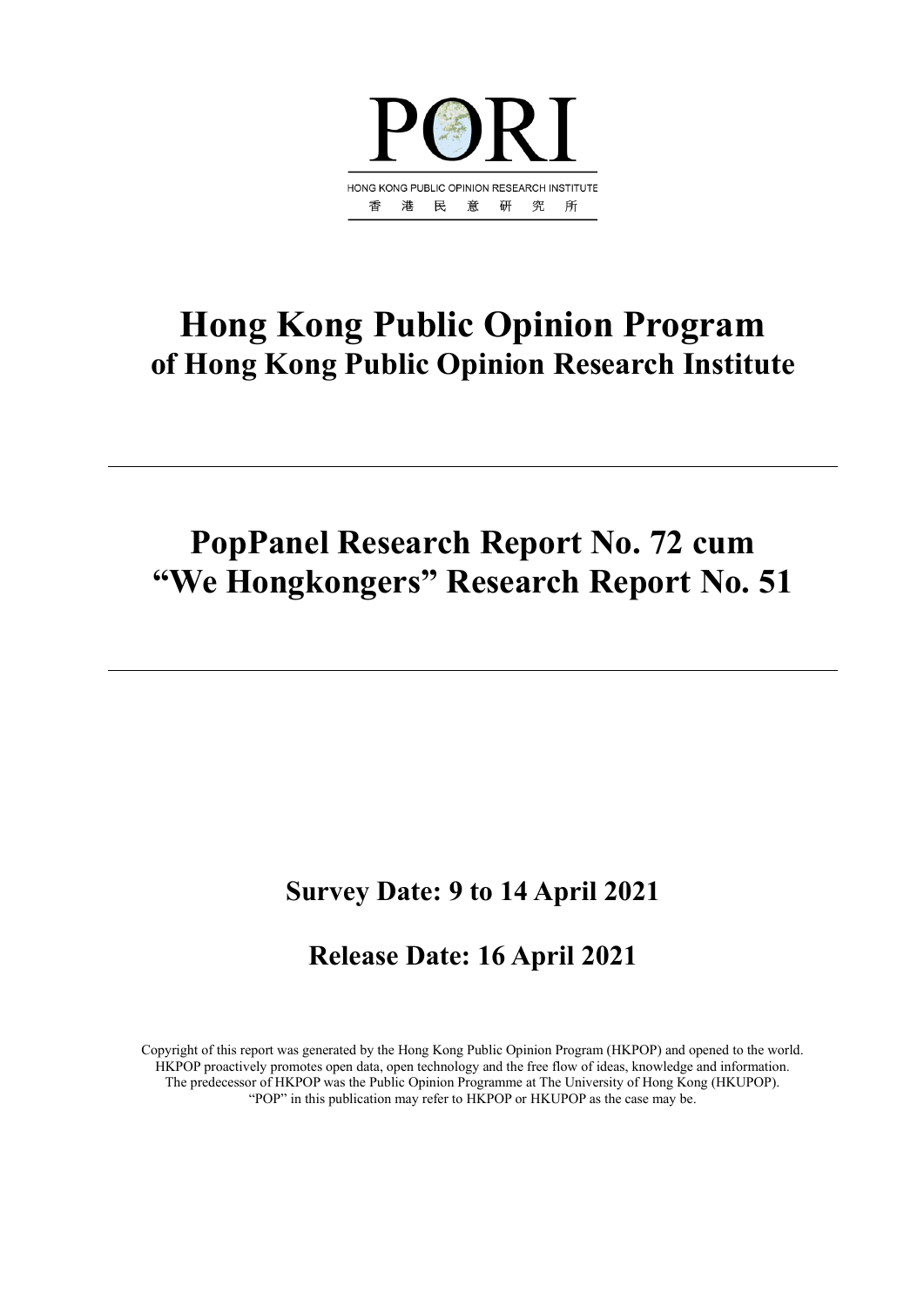

## **Hong Kong Public Opinion Program of Hong Kong Public Opinion Research Institute**

## **PopPanel Research Report No. 72 cum "We Hongkongers" Research Report No. 51**

## **Survey Date: 9 to 14 April 2021**

## **Release Date: 16 April 2021**

Copyright of this report was generated by the Hong Kong Public Opinion Program (HKPOP) and opened to the world. HKPOP proactively promotes open data, open technology and the free flow of ideas, knowledge and information. The predecessor of HKPOP was the Public Opinion Programme at The University of Hong Kong (HKUPOP). "POP" in this publication may refer to HKPOP or HKUPOP as the case may be.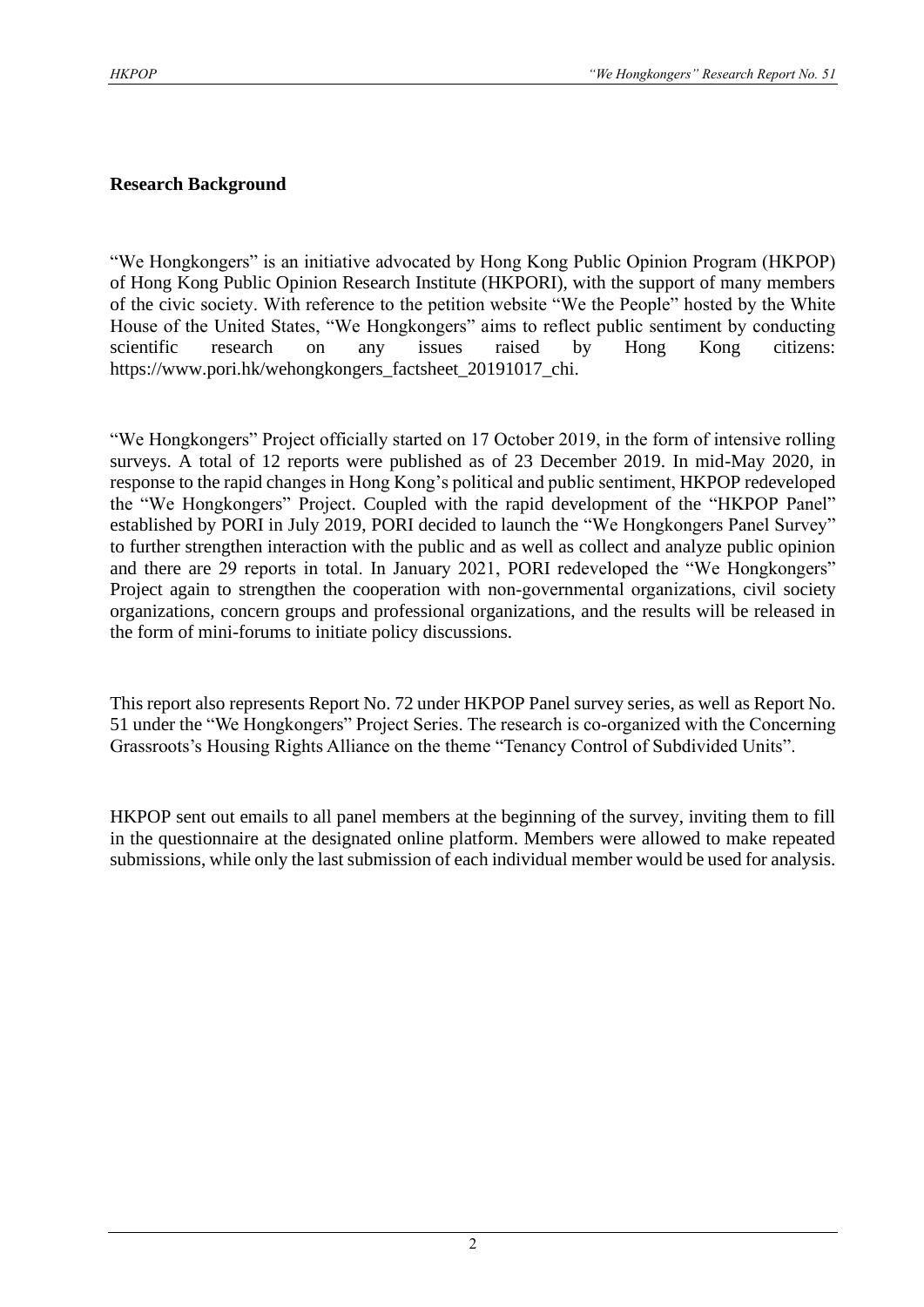#### **Research Background**

"We Hongkongers" is an initiative advocated by Hong Kong Public Opinion Program (HKPOP) of Hong Kong Public Opinion Research Institute (HKPORI), with the support of many members of the civic society. With reference to the petition website "We the People" hosted by the White House of the United States, "We Hongkongers" aims to reflect public sentiment by conducting scientific research on any issues raised by Hong Kong citizens: https://www.pori.hk/wehongkongers\_factsheet\_20191017\_chi.

"We Hongkongers" Project officially started on 17 October 2019, in the form of intensive rolling surveys. A total of 12 reports were published as of 23 December 2019. In mid-May 2020, in response to the rapid changes in Hong Kong's political and public sentiment, HKPOP redeveloped the "We Hongkongers" Project. Coupled with the rapid development of the "HKPOP Panel" established by PORI in July 2019, PORI decided to launch the "We Hongkongers Panel Survey" to further strengthen interaction with the public and as well as collect and analyze public opinion and there are 29 reports in total. In January 2021, PORI redeveloped the "We Hongkongers" Project again to strengthen the cooperation with non-governmental organizations, civil society organizations, concern groups and professional organizations, and the results will be released in the form of mini-forums to initiate policy discussions.

This report also represents Report No. 72 under HKPOP Panel survey series, as well as Report No. 51 under the "We Hongkongers" Project Series. The research is co-organized with the Concerning Grassroots's Housing Rights Alliance on the theme "Tenancy Control of Subdivided Units".

HKPOP sent out emails to all panel members at the beginning of the survey, inviting them to fill in the questionnaire at the designated online platform. Members were allowed to make repeated submissions, while only the last submission of each individual member would be used for analysis.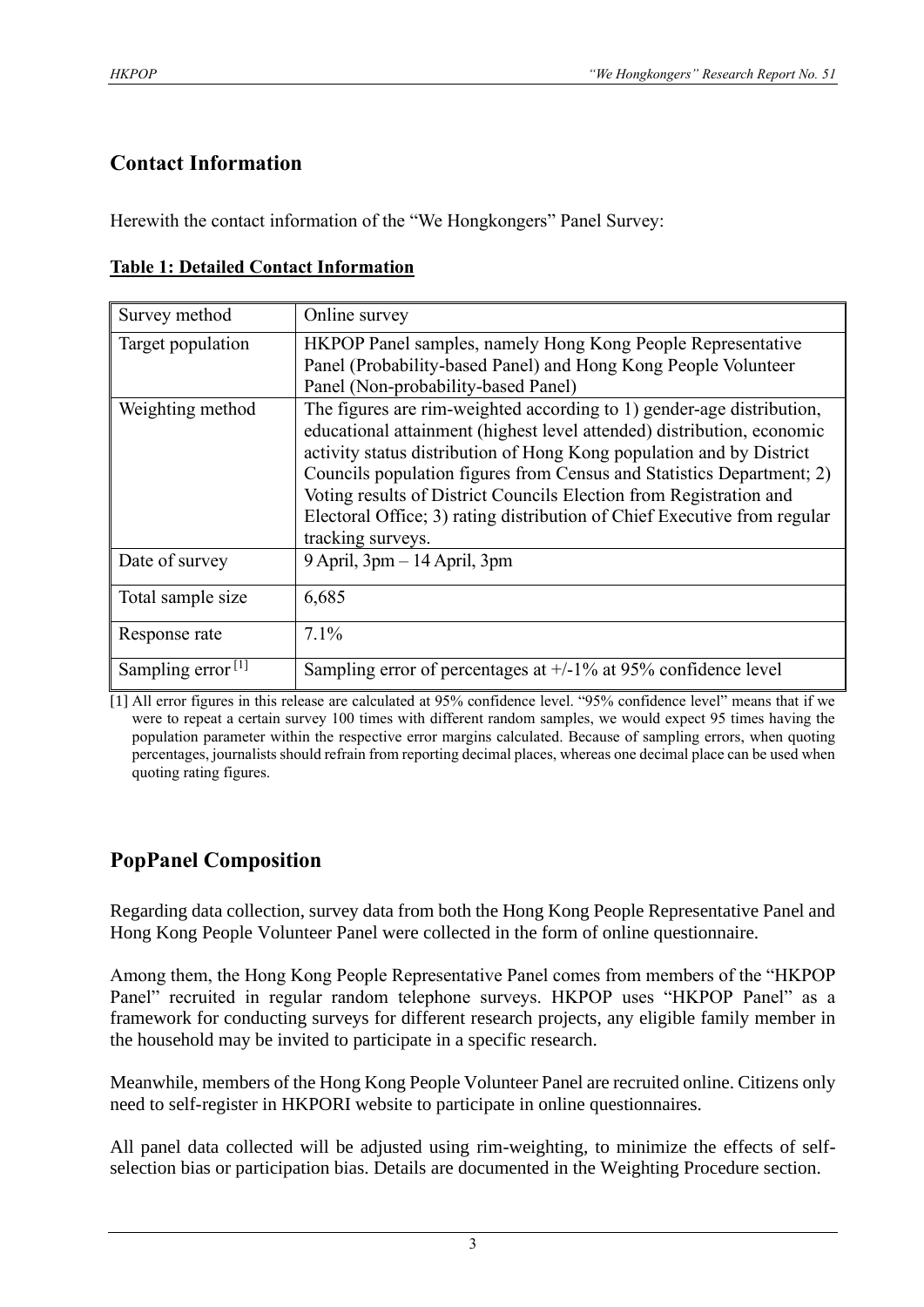## **Contact Information**

Herewith the contact information of the "We Hongkongers" Panel Survey:

| Survey method        | Online survey                                                                                                                                                                                                                                                                                                                                                                                                                                                           |
|----------------------|-------------------------------------------------------------------------------------------------------------------------------------------------------------------------------------------------------------------------------------------------------------------------------------------------------------------------------------------------------------------------------------------------------------------------------------------------------------------------|
| Target population    | HKPOP Panel samples, namely Hong Kong People Representative<br>Panel (Probability-based Panel) and Hong Kong People Volunteer<br>Panel (Non-probability-based Panel)                                                                                                                                                                                                                                                                                                    |
| Weighting method     | The figures are rim-weighted according to 1) gender-age distribution,<br>educational attainment (highest level attended) distribution, economic<br>activity status distribution of Hong Kong population and by District<br>Councils population figures from Census and Statistics Department; 2)<br>Voting results of District Councils Election from Registration and<br>Electoral Office; 3) rating distribution of Chief Executive from regular<br>tracking surveys. |
| Date of survey       | $9$ April, $3$ pm $-14$ April, $3$ pm                                                                                                                                                                                                                                                                                                                                                                                                                                   |
| Total sample size    | 6,685                                                                                                                                                                                                                                                                                                                                                                                                                                                                   |
| Response rate        | $7.1\%$                                                                                                                                                                                                                                                                                                                                                                                                                                                                 |
| Sampling error $[1]$ | Sampling error of percentages at $+/-1\%$ at 95% confidence level                                                                                                                                                                                                                                                                                                                                                                                                       |

[1] All error figures in this release are calculated at 95% confidence level. "95% confidence level" means that if we were to repeat a certain survey 100 times with different random samples, we would expect 95 times having the population parameter within the respective error margins calculated. Because of sampling errors, when quoting percentages, journalists should refrain from reporting decimal places, whereas one decimal place can be used when quoting rating figures.

## **PopPanel Composition**

Regarding data collection, survey data from both the Hong Kong People Representative Panel and Hong Kong People Volunteer Panel were collected in the form of online questionnaire.

Among them, the Hong Kong People Representative Panel comes from members of the "HKPOP Panel" recruited in regular random telephone surveys. HKPOP uses "HKPOP Panel" as a framework for conducting surveys for different research projects, any eligible family member in the household may be invited to participate in a specific research.

Meanwhile, members of the Hong Kong People Volunteer Panel are recruited online. Citizens only need to self-register in HKPORI website to participate in online questionnaires.

All panel data collected will be adjusted using rim-weighting, to minimize the effects of selfselection bias or participation bias. Details are documented in the Weighting Procedure section.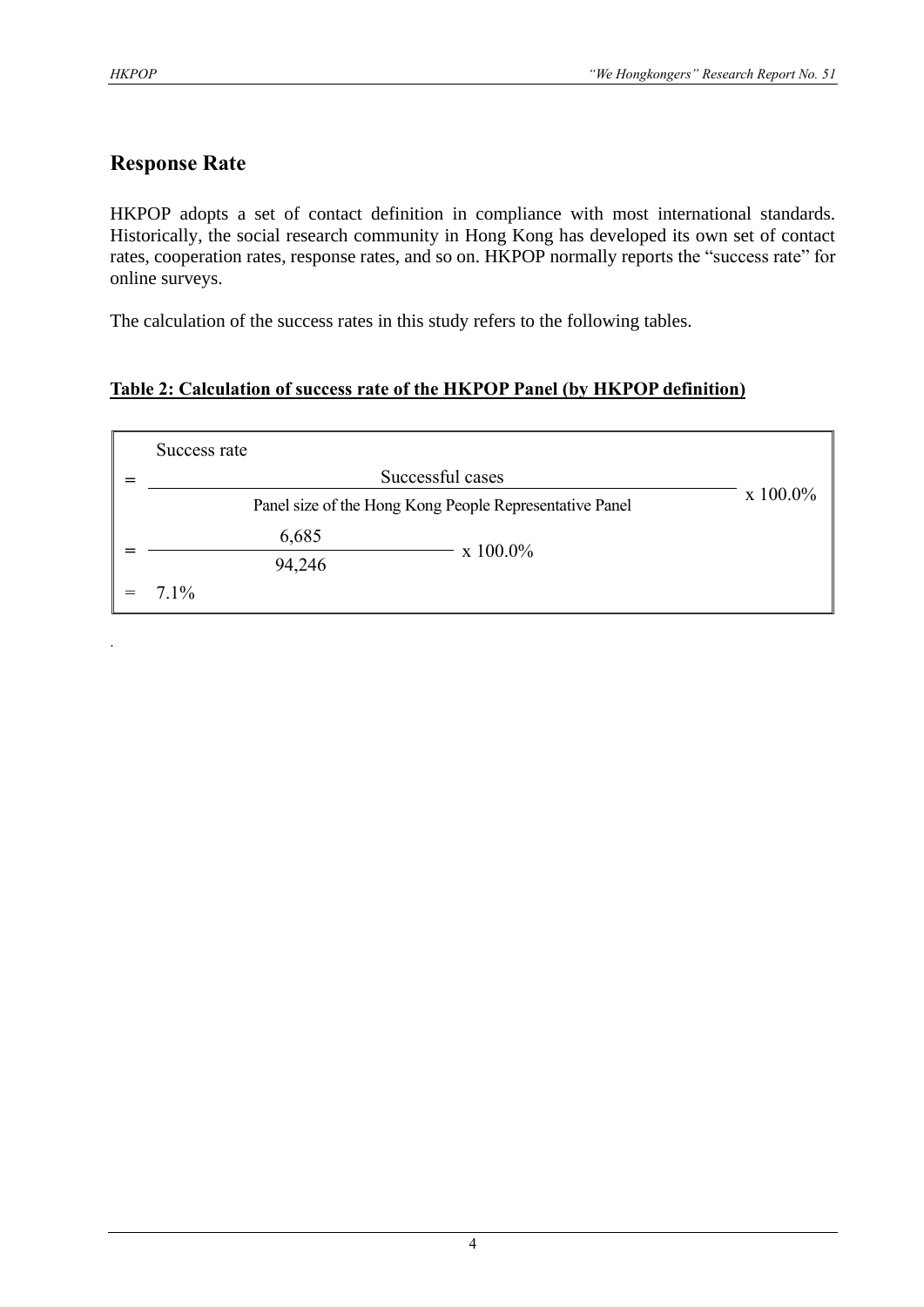.

## **Response Rate**

HKPOP adopts a set of contact definition in compliance with most international standards. Historically, the social research community in Hong Kong has developed its own set of contact rates, cooperation rates, response rates, and so on. HKPOP normally reports the "success rate" for online surveys.

The calculation of the success rates in this study refers to the following tables.

#### **Table 2: Calculation of success rate of the HKPOP Panel (by HKPOP definition)**

| Success rate |                                                         |                  |
|--------------|---------------------------------------------------------|------------------|
|              | Successful cases                                        |                  |
|              | Panel size of the Hong Kong People Representative Panel | $\rm x\;100.0\%$ |
| 6,685        |                                                         |                  |
| 94,246       | $\rm x\;100.0\%$                                        |                  |
| $7.1\%$      |                                                         |                  |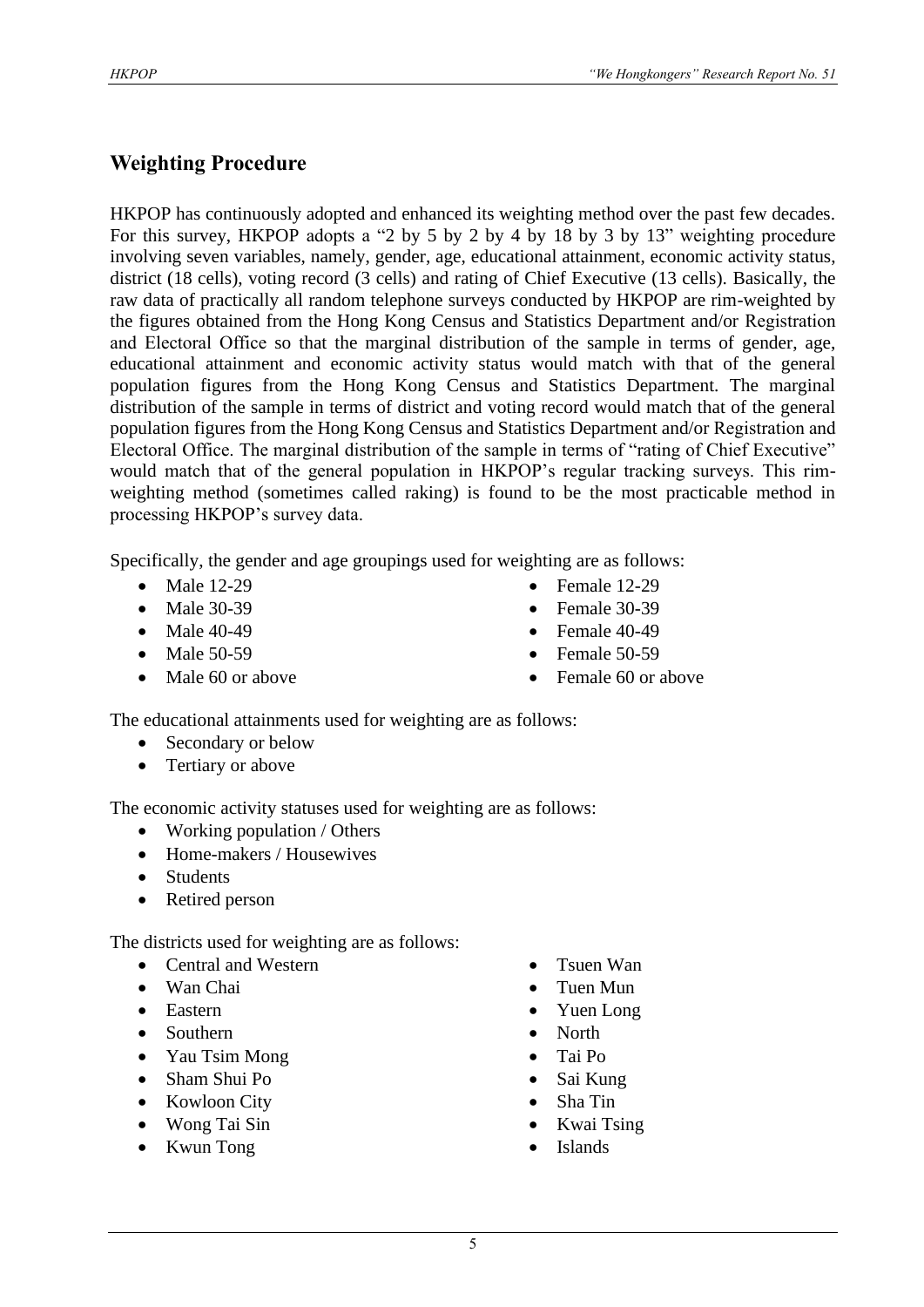### **Weighting Procedure**

HKPOP has continuously adopted and enhanced its weighting method over the past few decades. For this survey, HKPOP adopts a "2 by 5 by 2 by 4 by 18 by 3 by 13" weighting procedure involving seven variables, namely, gender, age, educational attainment, economic activity status, district (18 cells), voting record (3 cells) and rating of Chief Executive (13 cells). Basically, the raw data of practically all random telephone surveys conducted by HKPOP are rim-weighted by the figures obtained from the Hong Kong Census and Statistics Department and/or Registration and Electoral Office so that the marginal distribution of the sample in terms of gender, age, educational attainment and economic activity status would match with that of the general population figures from the Hong Kong Census and Statistics Department. The marginal distribution of the sample in terms of district and voting record would match that of the general population figures from the Hong Kong Census and Statistics Department and/or Registration and Electoral Office. The marginal distribution of the sample in terms of "rating of Chief Executive" would match that of the general population in HKPOP's regular tracking surveys. This rimweighting method (sometimes called raking) is found to be the most practicable method in processing HKPOP's survey data.

Specifically, the gender and age groupings used for weighting are as follows:

- Male 12-29
- Male 30-39
- Male 40-49
- Male 50-59
- Male 60 or above
- Female 12-29
- Female 30-39
- Female  $40-49$
- Female 50-59
- Female 60 or above

The educational attainments used for weighting are as follows:

- Secondary or below
- Tertiary or above

The economic activity statuses used for weighting are as follows:

- Working population / Others
- Home-makers / Housewives
- Students
- Retired person

The districts used for weighting are as follows:

- Central and Western
- Wan Chai
- Eastern
- Southern
- Yau Tsim Mong
- Sham Shui Po
- Kowloon City
- Wong Tai Sin
- Kwun Tong
- Tsuen Wan
- Tuen Mun
- Yuen Long
- North
- Tai Po
- Sai Kung
- Sha Tin
- Kwai Tsing
- **Islands**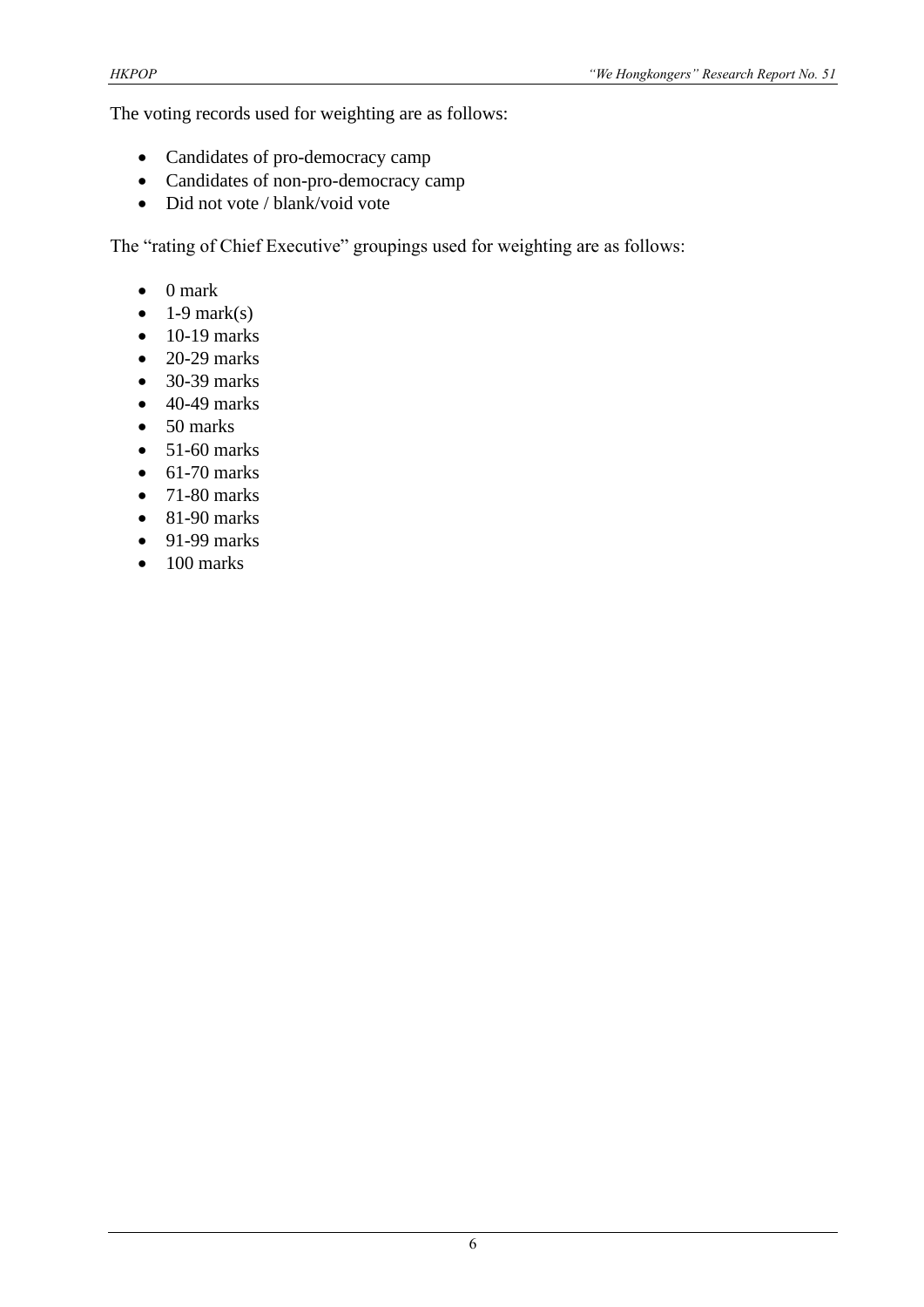The voting records used for weighting are as follows:

- Candidates of pro-democracy camp
- Candidates of non-pro-democracy camp
- Did not vote / blank/void vote

The "rating of Chief Executive" groupings used for weighting are as follows:

- 0 mark
- $\bullet$  1-9 mark(s)
- $\bullet$  10-19 marks
- $\bullet$  20-29 marks
- 30-39 marks
- $\bullet$  40-49 marks
- 50 marks
- $\bullet$  51-60 marks
- $\bullet$  61-70 marks
- $\bullet$  71-80 marks
- $\bullet$  81-90 marks
- $\bullet$  91-99 marks
- $\bullet$  100 marks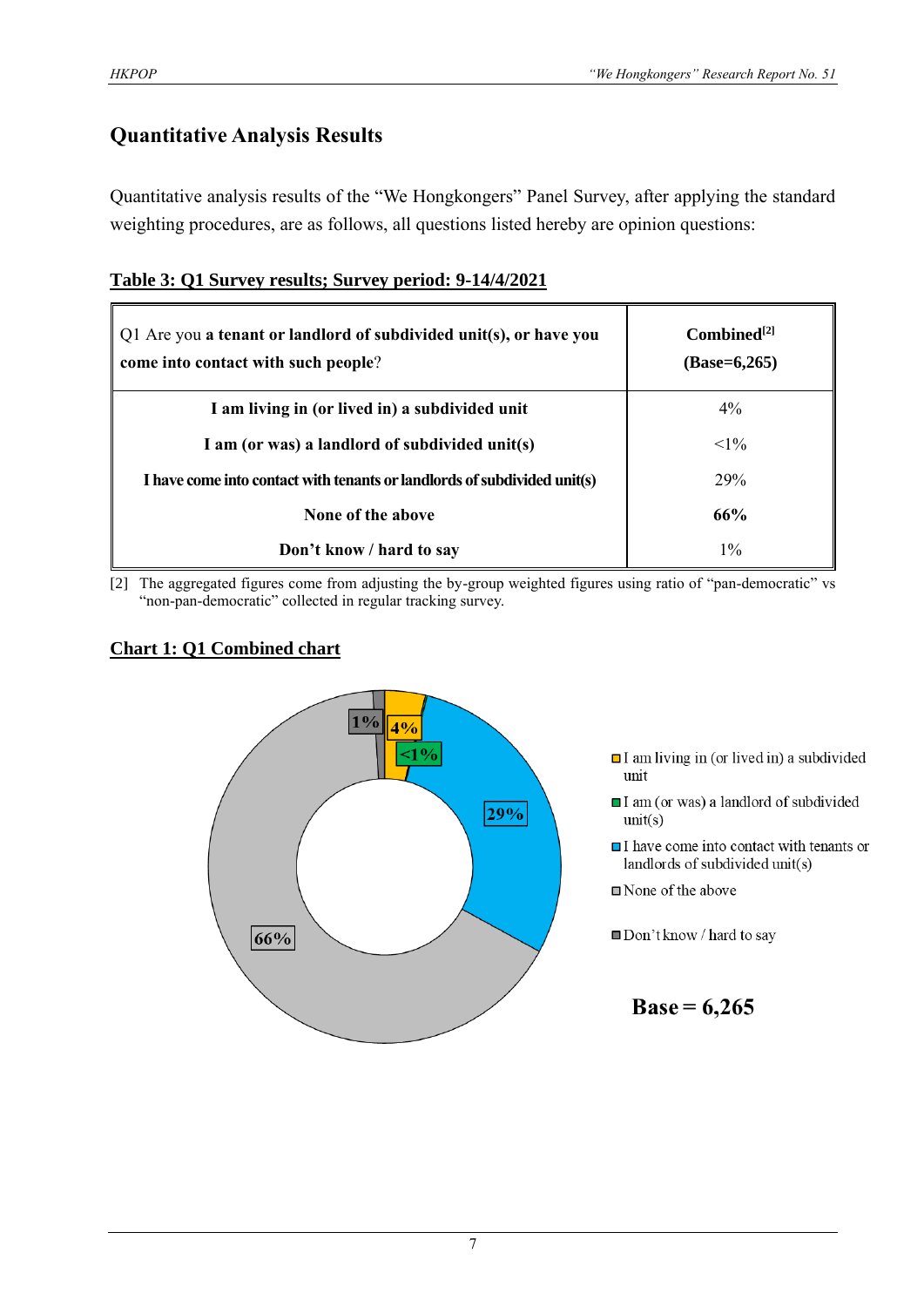## **Quantitative Analysis Results**

Quantitative analysis results of the "We Hongkongers" Panel Survey, after applying the standard weighting procedures, are as follows, all questions listed hereby are opinion questions:

| Table 3: Q1 Survey results; Survey period: 9-14/4/2021 |
|--------------------------------------------------------|
|--------------------------------------------------------|

| Q1 Are you a tenant or landlord of subdivided unit(s), or have you<br>come into contact with such people? | $Combined^{[2]}$<br>$(Base=6,265)$ |
|-----------------------------------------------------------------------------------------------------------|------------------------------------|
| I am living in (or lived in) a subdivided unit                                                            | $4\%$                              |
| I am (or was) a landlord of subdivided unit(s)                                                            | $<1\%$                             |
| I have come into contact with tenants or landlords of subdivided unit(s)                                  | 29%                                |
| None of the above                                                                                         | 66%                                |
| Don't know / hard to say                                                                                  | $1\%$                              |

[2] The aggregated figures come from adjusting the by-group weighted figures using ratio of "pan-democratic" vs "non-pan-democratic" collected in regular tracking survey.

#### **Chart 1: Q1 Combined chart**



- $\Box$  I am living in (or lived in) a subdivided unit
- I am (or was) a landlord of subdivided  $unit(s)$
- $\Box$  I have come into contact with tenants or landlords of subdivided unit(s)

■ None of the above

Don't know / hard to say

**Base = 6,265**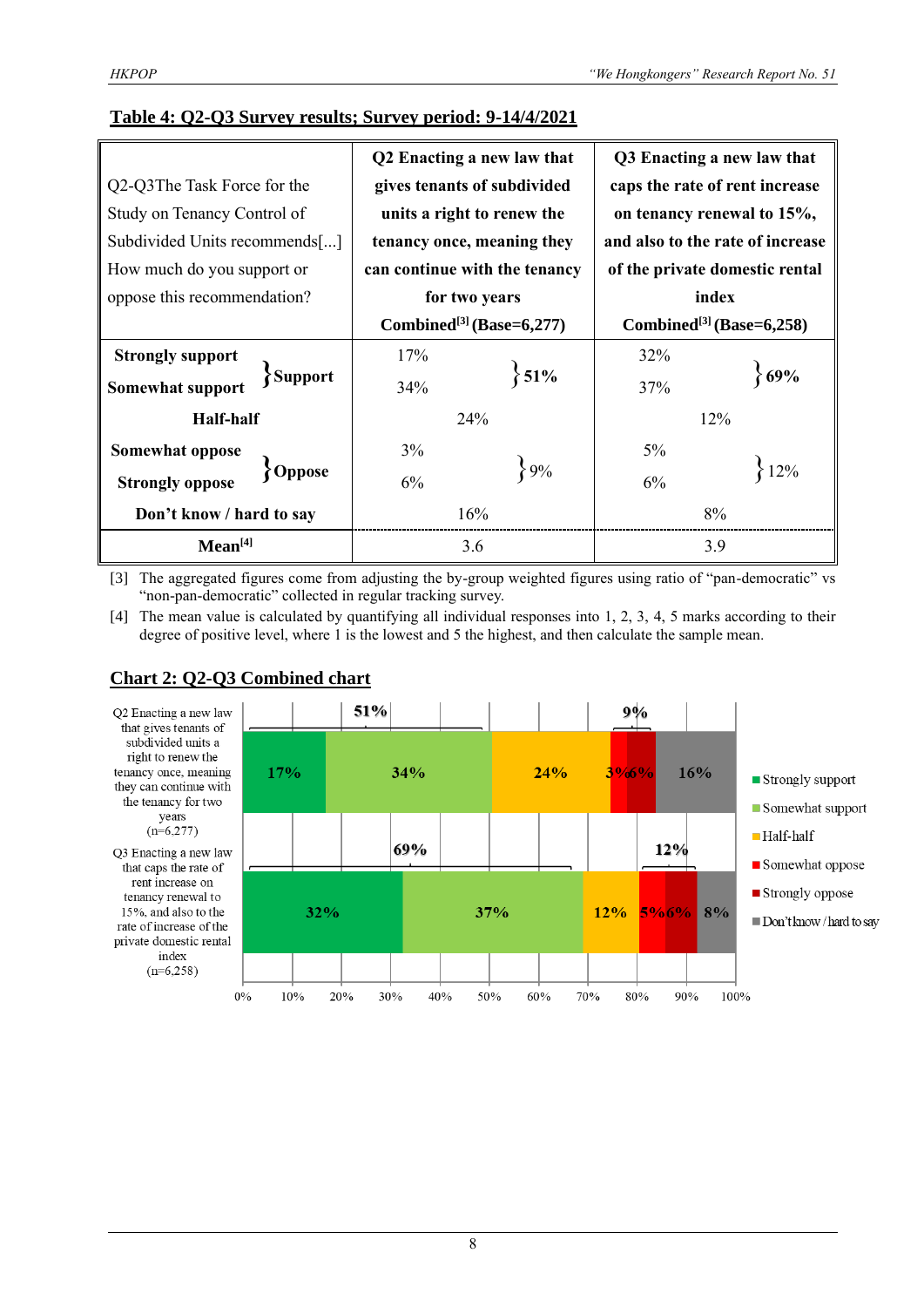#### **Table 4: Q2-Q3 Survey results; Survey period: 9-14/4/2021**

|                                    |                                      | Q2 Enacting a new law that    |                                      | Q3 Enacting a new law that       |  |  |
|------------------------------------|--------------------------------------|-------------------------------|--------------------------------------|----------------------------------|--|--|
| Q2-Q3The Task Force for the        |                                      | gives tenants of subdivided   | caps the rate of rent increase       |                                  |  |  |
| Study on Tenancy Control of        |                                      | units a right to renew the    | on tenancy renewal to 15%,           |                                  |  |  |
| Subdivided Units recommends[]      |                                      | tenancy once, meaning they    |                                      | and also to the rate of increase |  |  |
| How much do you support or         |                                      | can continue with the tenancy | of the private domestic rental       |                                  |  |  |
| oppose this recommendation?        |                                      | for two years                 |                                      | index                            |  |  |
|                                    | Combined <sup>[3]</sup> (Base=6,277) |                               | Combined <sup>[3]</sup> (Base=6,258) |                                  |  |  |
| <b>Strongly support</b>            | 17%                                  |                               | 32%                                  |                                  |  |  |
| Somewhat support<br><b>Support</b> | 34%                                  | $\{51\%$                      | 37%                                  | 69%                              |  |  |
| <b>Half-half</b>                   |                                      | 24%                           | 12%                                  |                                  |  |  |
| Somewhat oppose                    | 3%                                   |                               | $5\%$                                |                                  |  |  |
| Oppose<br><b>Strongly oppose</b>   | 6%                                   | 89%                           | 6%                                   | 12%                              |  |  |
| Don't know / hard to say           |                                      | 16%                           | 8%                                   |                                  |  |  |
| Mean <sup>[4]</sup>                |                                      | 3.6                           | 3.9                                  |                                  |  |  |

[3] The aggregated figures come from adjusting the by-group weighted figures using ratio of "pan-democratic" vs "non-pan-democratic" collected in regular tracking survey.

[4] The mean value is calculated by quantifying all individual responses into 1, 2, 3, 4, 5 marks according to their degree of positive level, where 1 is the lowest and 5 the highest, and then calculate the sample mean.



### **Chart 2: Q2-Q3 Combined chart**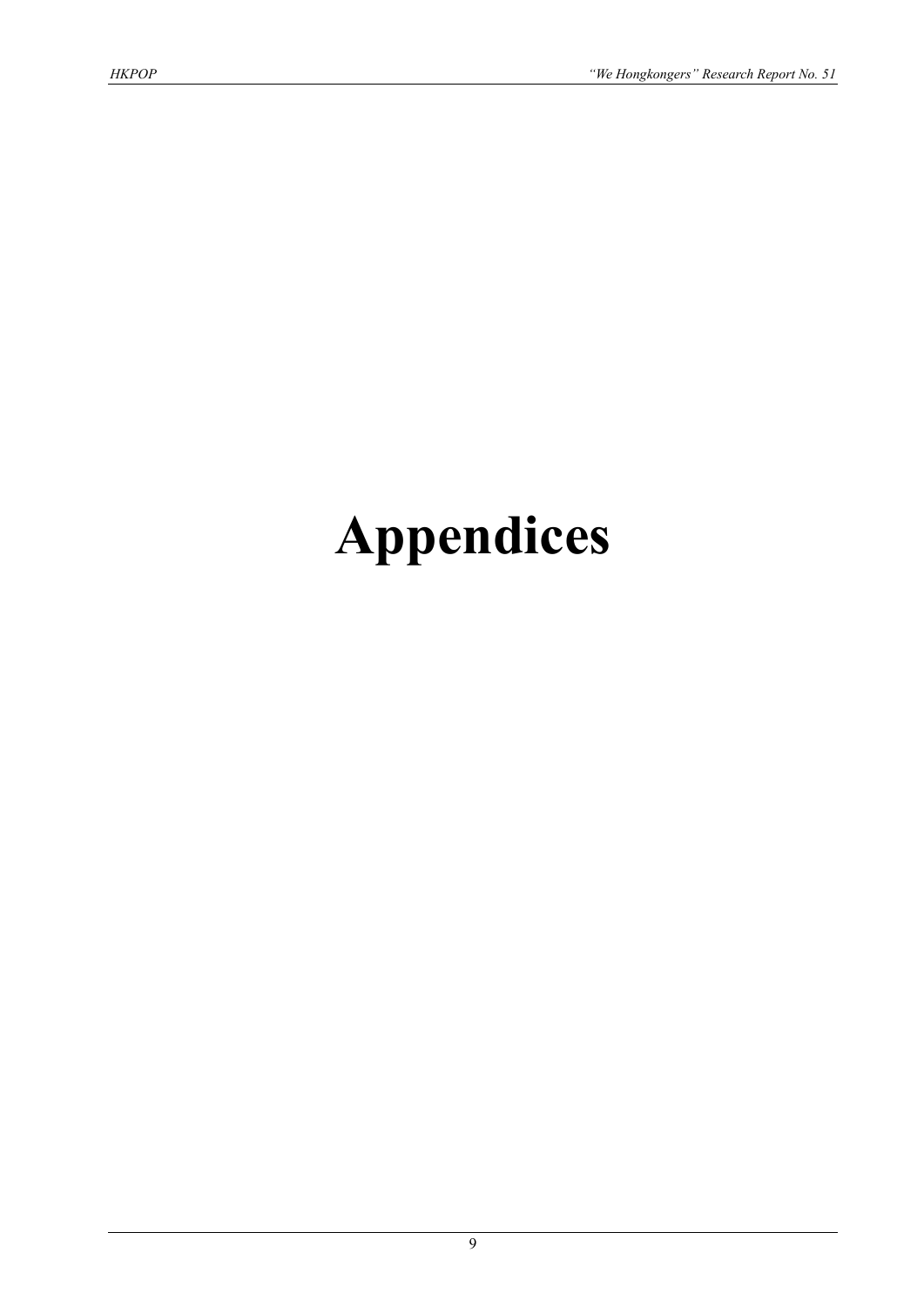# **Appendices**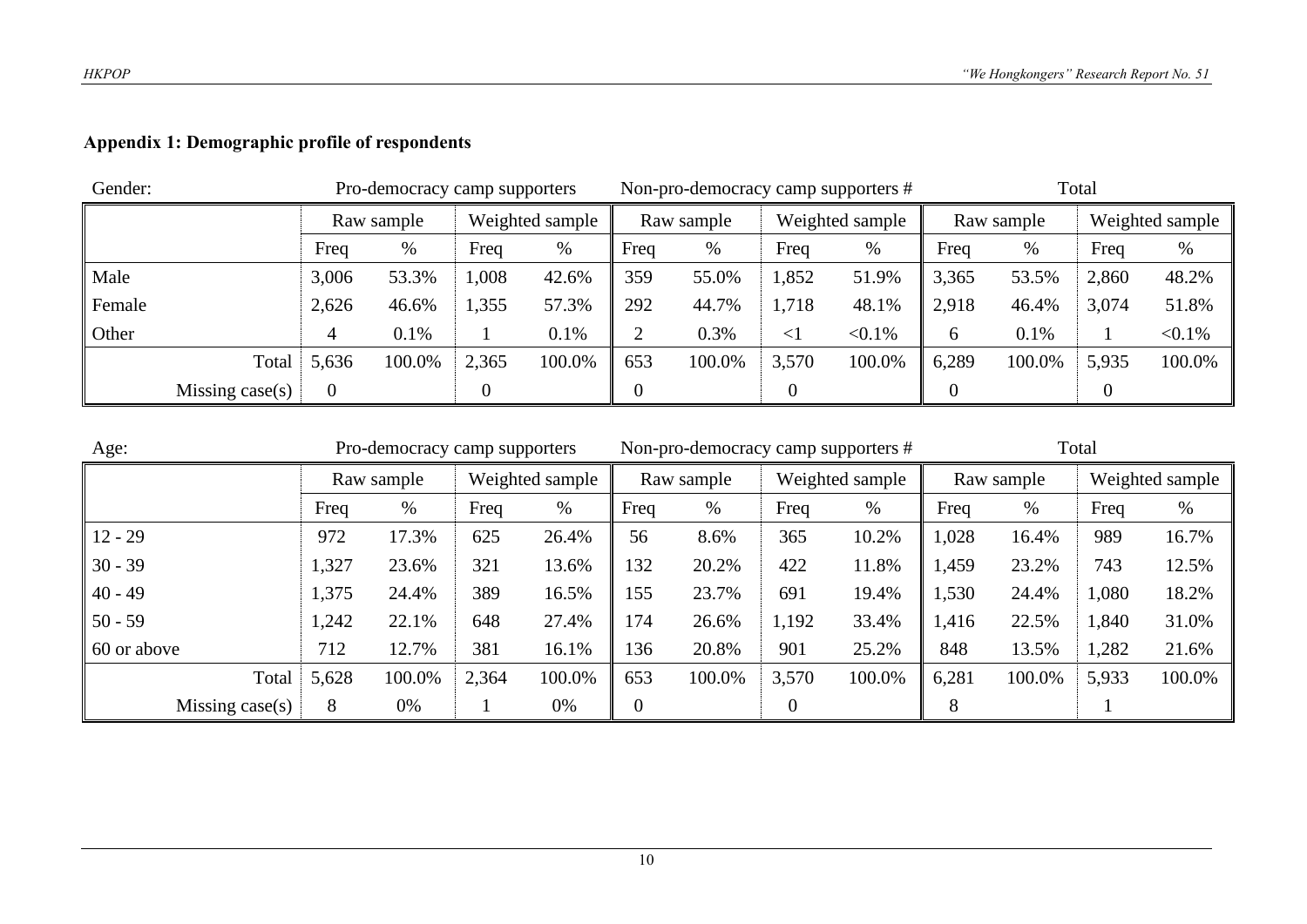## **Appendix 1: Demographic profile of respondents**

| Gender: |                 |            | Pro-democracy camp supporters |                 |        |            |        |                 | Non-pro-democracy camp supporters # | Total      |        |                 |           |
|---------|-----------------|------------|-------------------------------|-----------------|--------|------------|--------|-----------------|-------------------------------------|------------|--------|-----------------|-----------|
|         |                 | Raw sample |                               | Weighted sample |        | Raw sample |        | Weighted sample |                                     | Raw sample |        | Weighted sample |           |
|         |                 | Freq       | %                             | Freq            | %      | Freq       | %      | Freq            | %                                   | Freq       | $\%$   | Freq            | $\%$      |
| Male    |                 | 3,006      | 53.3%                         | 1,008           | 42.6%  | 359        | 55.0%  | 1,852           | 51.9%                               | 3,365      | 53.5%  | 2,860           | 48.2%     |
| Female  |                 | 2,626      | 46.6%                         | 1,355           | 57.3%  | 292        | 44.7%  | 1,718           | 48.1%                               | 2,918      | 46.4%  | 3,074           | 51.8%     |
| Other   |                 |            | 0.1%                          |                 | 0.1%   | ◠          | 0.3%   | <               | $< 0.1\%$                           | 6          | 0.1%   |                 | $< 0.1\%$ |
|         | Total           | 5,636      | 100.0%                        | 2,365           | 100.0% | 653        | 100.0% | 3,570           | 100.0%                              | 6,289      | 100.0% | 5,935           | 100.0%    |
|         | Missing case(s) |            |                               |                 |        |            |        |                 |                                     |            |        |                 |           |

| Age:                |       | Pro-democracy camp supporters |                 |        |              | Non-pro-democracy camp supporters # |                 |        |            |        |                 |        |
|---------------------|-------|-------------------------------|-----------------|--------|--------------|-------------------------------------|-----------------|--------|------------|--------|-----------------|--------|
|                     |       | Raw sample                    | Weighted sample |        | Raw sample   |                                     | Weighted sample |        | Raw sample |        | Weighted sample |        |
|                     | Freq  | %                             | Freq            | $\%$   | Freq         | %                                   | Freq            | $\%$   | Freq       | $\%$   | Freq            | %      |
| $12 - 29$           | 972   | 17.3%                         | 625             | 26.4%  | 56           | 8.6%                                | 365             | 10.2%  | 1,028      | 16.4%  | 989             | 16.7%  |
| $30 - 39$           | 1,327 | 23.6%                         | 321             | 13.6%  | 132          | 20.2%                               | 422             | 11.8%  | 1,459      | 23.2%  | 743             | 12.5%  |
| $40 - 49$           | 1,375 | 24.4%                         | 389             | 16.5%  | 155          | 23.7%                               | 691             | 19.4%  | 1,530      | 24.4%  | 1,080           | 18.2%  |
| $50 - 59$           | 1,242 | 22.1%                         | 648             | 27.4%  | 174          | 26.6%                               | 1,192           | 33.4%  | 1,416      | 22.5%  | 1,840           | 31.0%  |
| $\vert$ 60 or above | 712   | 12.7%                         | 381             | 16.1%  | 136          | 20.8%                               | 901             | 25.2%  | 848        | 13.5%  | 1,282           | 21.6%  |
| Total               | 5,628 | 100.0%                        | 2,364           | 100.0% | 653          | 100.0%                              | 3,570           | 100.0% | 6,281      | 100.0% | 5,933           | 100.0% |
| Missing case $(s)$  | 8     | 0%                            |                 | 0%     | $\mathbf{0}$ |                                     |                 |        | 8          |        |                 |        |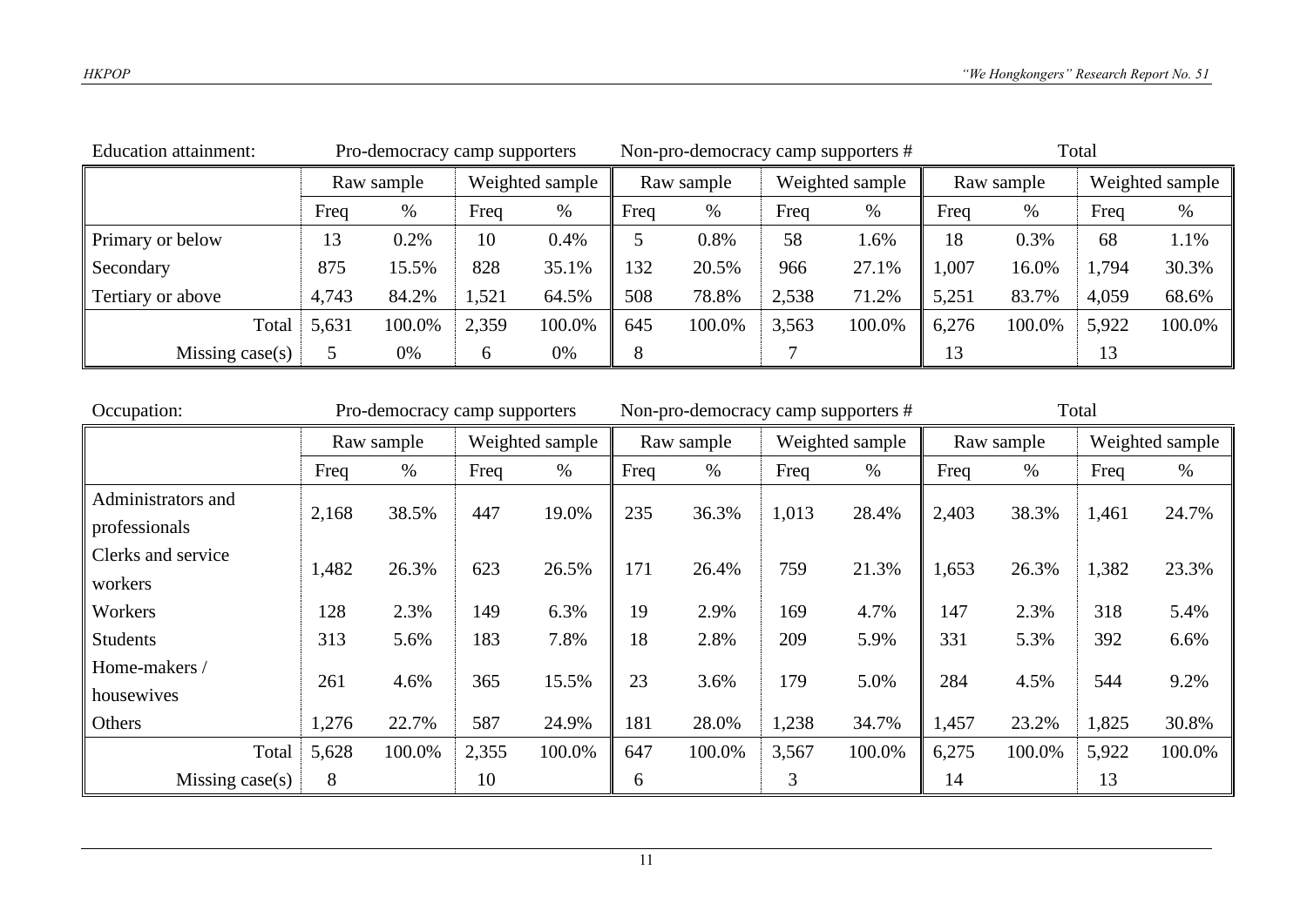| <b>Education attainment:</b><br>Pro-democracy camp supporters |            |        |                 |        |            | Non-pro-democracy camp supporters # |                 |        | Total      |        |                 |        |
|---------------------------------------------------------------|------------|--------|-----------------|--------|------------|-------------------------------------|-----------------|--------|------------|--------|-----------------|--------|
|                                                               | Raw sample |        | Weighted sample |        | Raw sample |                                     | Weighted sample |        | Raw sample |        | Weighted sample |        |
|                                                               | Freq       | %      | Freq            | %      | Freq       | %                                   | Freq            | $\%$   | Freq       | $\%$   | Freq            | %      |
| Primary or below                                              | 13         | 0.2%   | 10              | 0.4%   |            | 0.8%                                | 58              | 1.6%   | 18         | 0.3%   | 68              | 1.1%   |
| Secondary                                                     | 875        | 15.5%  | 828             | 35.1%  | 132        | 20.5%                               | 966             | 27.1%  | 1,007      | 16.0%  | 1,794           | 30.3%  |
| Tertiary or above                                             | 4,743      | 84.2%  | 1,521           | 64.5%  | 508        | 78.8%                               | 2,538           | 71.2%  | 5,251      | 83.7%  | 4,059           | 68.6%  |
| Total                                                         | 5,631      | 100.0% | 2,359           | 100.0% | 645        | 100.0%                              | 3,563           | 100.0% | 6,276      | 100.0% | 5,922           | 100.0% |
| Missing case $(s)$                                            |            | 0%     | h               | 0%     | 8          |                                     |                 |        | 13         |        | 13              |        |

| Occupation:        | Pro-democracy camp supporters |        |                 |        |            | Non-pro-democracy camp supporters # |                 |        | Total      |        |                 |        |
|--------------------|-------------------------------|--------|-----------------|--------|------------|-------------------------------------|-----------------|--------|------------|--------|-----------------|--------|
|                    | Raw sample                    |        | Weighted sample |        | Raw sample |                                     | Weighted sample |        | Raw sample |        | Weighted sample |        |
|                    | Freq                          | $\%$   | Freq            | $\%$   | Freq       | $\%$                                | Freq            | $\%$   | Freq       | $\%$   | Freq            | $\%$   |
| Administrators and | 2,168                         | 38.5%  | 447             | 19.0%  | 235        | 36.3%                               | 1,013           | 28.4%  | 2,403      | 38.3%  | 1,461           | 24.7%  |
| professionals      |                               |        |                 |        |            |                                     |                 |        |            |        |                 |        |
| Clerks and service | 1,482                         | 26.3%  | 623             | 26.5%  | 171        | 26.4%                               | 759             | 21.3%  | 1,653      | 26.3%  | 1,382           | 23.3%  |
| workers            |                               |        |                 |        |            |                                     |                 |        |            |        |                 |        |
| Workers            | 128                           | 2.3%   | 149             | 6.3%   | 19         | 2.9%                                | 169             | 4.7%   | 147        | 2.3%   | 318             | 5.4%   |
| <b>Students</b>    | 313                           | 5.6%   | 183             | 7.8%   | 18         | 2.8%                                | 209             | 5.9%   | 331        | 5.3%   | 392             | 6.6%   |
| Home-makers /      | 261                           | 4.6%   | 365             | 15.5%  | 23         | 3.6%                                | 179             | 5.0%   | 284        | 4.5%   | 544             | 9.2%   |
| housewives         |                               |        |                 |        |            |                                     |                 |        |            |        |                 |        |
| Others             | 1,276                         | 22.7%  | 587             | 24.9%  | 181        | 28.0%                               | 1,238           | 34.7%  | 1,457      | 23.2%  | 1,825           | 30.8%  |
| Total              | 5,628                         | 100.0% | 2,355           | 100.0% | 647        | 100.0%                              | 3,567           | 100.0% | 6,275      | 100.0% | 5,922           | 100.0% |
| Missing $case(s)$  | 8                             |        | 10              |        | 6          |                                     | 3               |        | 14         |        | 13              |        |

11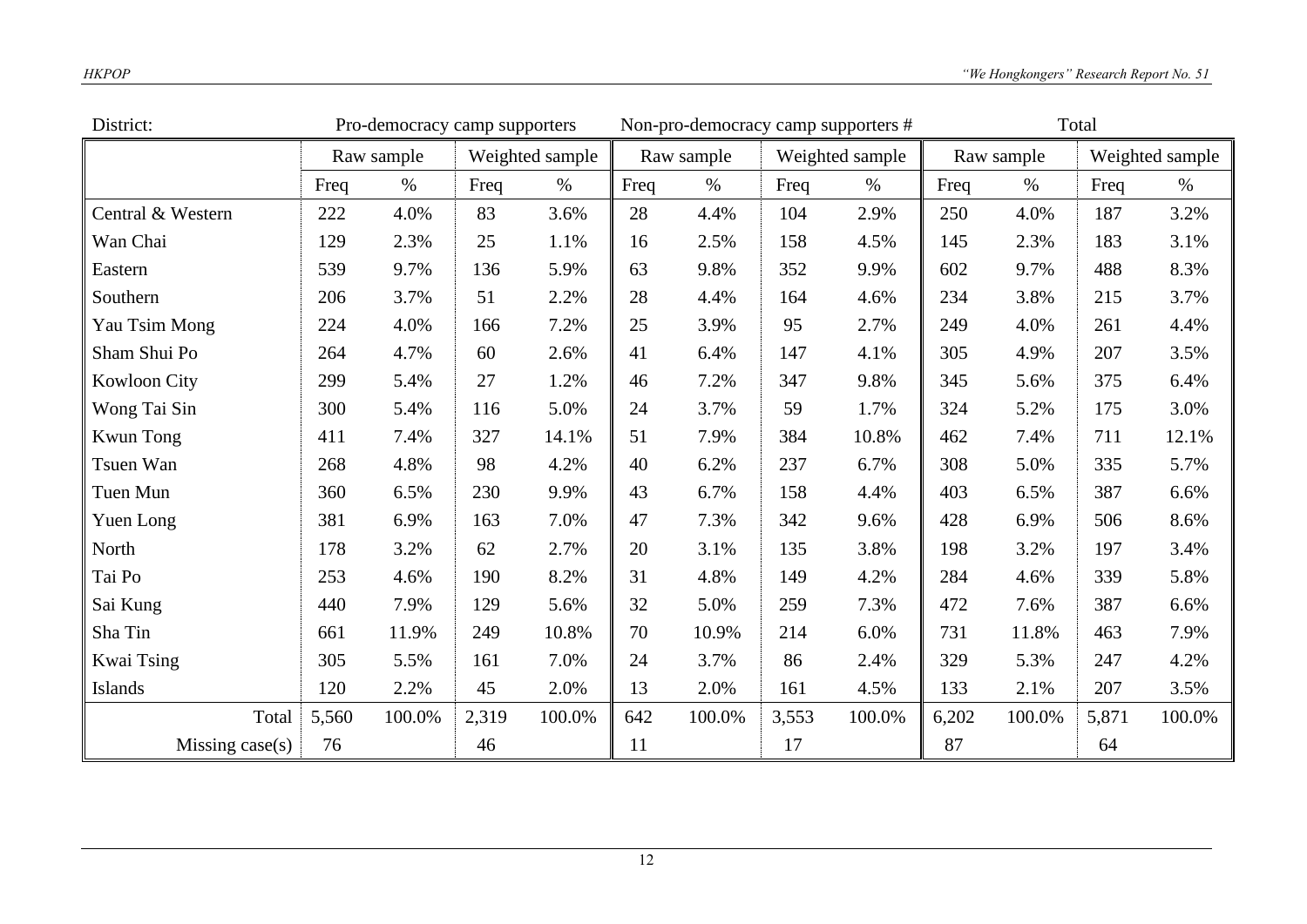| District:           |            | Pro-democracy camp supporters |                 |        |      | Non-pro-democracy camp supporters # |       |                 | Total |            |       |                 |
|---------------------|------------|-------------------------------|-----------------|--------|------|-------------------------------------|-------|-----------------|-------|------------|-------|-----------------|
|                     | Raw sample |                               | Weighted sample |        |      | Raw sample                          |       | Weighted sample |       | Raw sample |       | Weighted sample |
|                     | Freq       | $\%$                          | Freq            | $\%$   | Freq | $\%$                                | Freq  | $\%$            | Freq  | $\%$       | Freq  | $\%$            |
| Central & Western   | 222        | 4.0%                          | 83              | 3.6%   | 28   | 4.4%                                | 104   | 2.9%            | 250   | 4.0%       | 187   | 3.2%            |
| Wan Chai            | 129        | 2.3%                          | 25              | 1.1%   | 16   | 2.5%                                | 158   | 4.5%            | 145   | 2.3%       | 183   | 3.1%            |
| Eastern             | 539        | 9.7%                          | 136             | 5.9%   | 63   | 9.8%                                | 352   | 9.9%            | 602   | 9.7%       | 488   | 8.3%            |
| Southern            | 206        | 3.7%                          | 51              | 2.2%   | 28   | 4.4%                                | 164   | 4.6%            | 234   | 3.8%       | 215   | 3.7%            |
| Yau Tsim Mong       | 224        | 4.0%                          | 166             | 7.2%   | 25   | 3.9%                                | 95    | 2.7%            | 249   | 4.0%       | 261   | 4.4%            |
| Sham Shui Po        | 264        | 4.7%                          | 60              | 2.6%   | 41   | 6.4%                                | 147   | 4.1%            | 305   | 4.9%       | 207   | 3.5%            |
| <b>Kowloon City</b> | 299        | 5.4%                          | 27              | 1.2%   | 46   | 7.2%                                | 347   | 9.8%            | 345   | 5.6%       | 375   | 6.4%            |
| Wong Tai Sin        | 300        | 5.4%                          | 116             | 5.0%   | 24   | 3.7%                                | 59    | 1.7%            | 324   | 5.2%       | 175   | 3.0%            |
| <b>Kwun Tong</b>    | 411        | 7.4%                          | 327             | 14.1%  | 51   | 7.9%                                | 384   | 10.8%           | 462   | 7.4%       | 711   | 12.1%           |
| Tsuen Wan           | 268        | 4.8%                          | 98              | 4.2%   | 40   | 6.2%                                | 237   | 6.7%            | 308   | 5.0%       | 335   | 5.7%            |
| Tuen Mun            | 360        | 6.5%                          | 230             | 9.9%   | 43   | 6.7%                                | 158   | 4.4%            | 403   | 6.5%       | 387   | 6.6%            |
| Yuen Long           | 381        | 6.9%                          | 163             | 7.0%   | 47   | 7.3%                                | 342   | 9.6%            | 428   | 6.9%       | 506   | 8.6%            |
| North               | 178        | 3.2%                          | 62              | 2.7%   | 20   | 3.1%                                | 135   | 3.8%            | 198   | 3.2%       | 197   | 3.4%            |
| Tai Po              | 253        | 4.6%                          | 190             | 8.2%   | 31   | 4.8%                                | 149   | 4.2%            | 284   | 4.6%       | 339   | 5.8%            |
| Sai Kung            | 440        | 7.9%                          | 129             | 5.6%   | 32   | 5.0%                                | 259   | 7.3%            | 472   | 7.6%       | 387   | 6.6%            |
| Sha Tin             | 661        | 11.9%                         | 249             | 10.8%  | 70   | 10.9%                               | 214   | 6.0%            | 731   | 11.8%      | 463   | 7.9%            |
| Kwai Tsing          | 305        | 5.5%                          | 161             | 7.0%   | 24   | 3.7%                                | 86    | 2.4%            | 329   | 5.3%       | 247   | 4.2%            |
| Islands             | 120        | 2.2%                          | 45              | 2.0%   | 13   | 2.0%                                | 161   | 4.5%            | 133   | 2.1%       | 207   | 3.5%            |
| Total               | 5,560      | 100.0%                        | 2,319           | 100.0% | 642  | 100.0%                              | 3,553 | 100.0%          | 6,202 | 100.0%     | 5,871 | 100.0%          |
| Missing case(s)     | 76         |                               | 46              |        | 11   |                                     | 17    |                 | 87    |            | 64    |                 |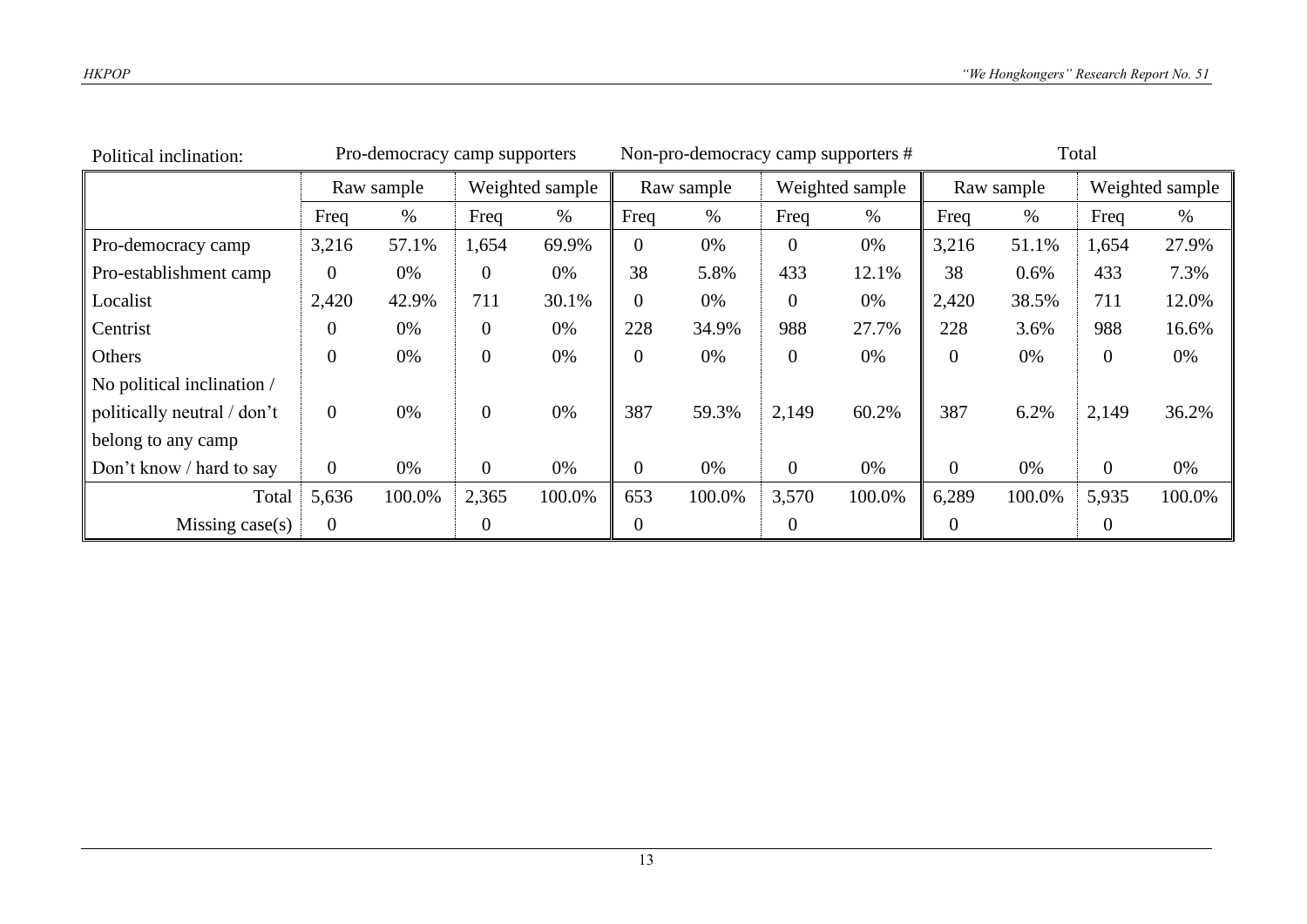| Political inclination:      |                | Pro-democracy camp supporters |                  |        |                | Non-pro-democracy camp supporters # |                 |        |            | Total  |                 |        |  |
|-----------------------------|----------------|-------------------------------|------------------|--------|----------------|-------------------------------------|-----------------|--------|------------|--------|-----------------|--------|--|
|                             | Raw sample     |                               | Weighted sample  |        | Raw sample     |                                     | Weighted sample |        | Raw sample |        | Weighted sample |        |  |
|                             | Freq           | %                             | Freq             | %      | Freq           | $\%$                                | Freq            | $\%$   | Freq       | $\%$   | Freq            | %      |  |
| Pro-democracy camp          | 3,216          | 57.1%                         | 1,654            | 69.9%  | $\overline{0}$ | 0%                                  | $\theta$        | 0%     | 3,216      | 51.1%  | 1,654           | 27.9%  |  |
| Pro-establishment camp      | $\overline{0}$ | 0%                            | $\overline{0}$   | 0%     | 38             | 5.8%                                | 433             | 12.1%  | 38         | 0.6%   | 433             | 7.3%   |  |
| Localist                    | 2,420          | 42.9%                         | 711              | 30.1%  | 0              | 0%                                  | $\theta$        | 0%     | 2,420      | 38.5%  | 711             | 12.0%  |  |
| Centrist                    | 0              | 0%                            | $\boldsymbol{0}$ | 0%     | 228            | 34.9%                               | 988             | 27.7%  | 228        | 3.6%   | 988             | 16.6%  |  |
| Others                      | $\overline{0}$ | 0%                            | $\boldsymbol{0}$ | 0%     | 0              | 0%                                  | $\theta$        | 0%     | $\theta$   | 0%     | $\overline{0}$  | 0%     |  |
| No political inclination /  |                |                               |                  |        |                |                                     |                 |        |            |        |                 |        |  |
| politically neutral / don't | $\overline{0}$ | 0%                            | $\overline{0}$   | 0%     | 387            | 59.3%                               | 2,149           | 60.2%  | 387        | 6.2%   | 2,149           | 36.2%  |  |
| belong to any camp          |                |                               |                  |        |                |                                     |                 |        |            |        |                 |        |  |
| Don't know / hard to say    | $\overline{0}$ | 0%                            | $\overline{0}$   | 0%     | 0              | 0%                                  | $\theta$        | 0%     | $\theta$   | 0%     | $\overline{0}$  | 0%     |  |
| Total                       | 5,636          | 100.0%                        | 2,365            | 100.0% | 653            | 100.0%                              | 3,570           | 100.0% | 6,289      | 100.0% | 5,935           | 100.0% |  |
| Missing $case(s)$           | $\overline{0}$ |                               | 0                |        | 0              |                                     | $\mathbf{0}$    |        | $\theta$   |        | $\overline{0}$  |        |  |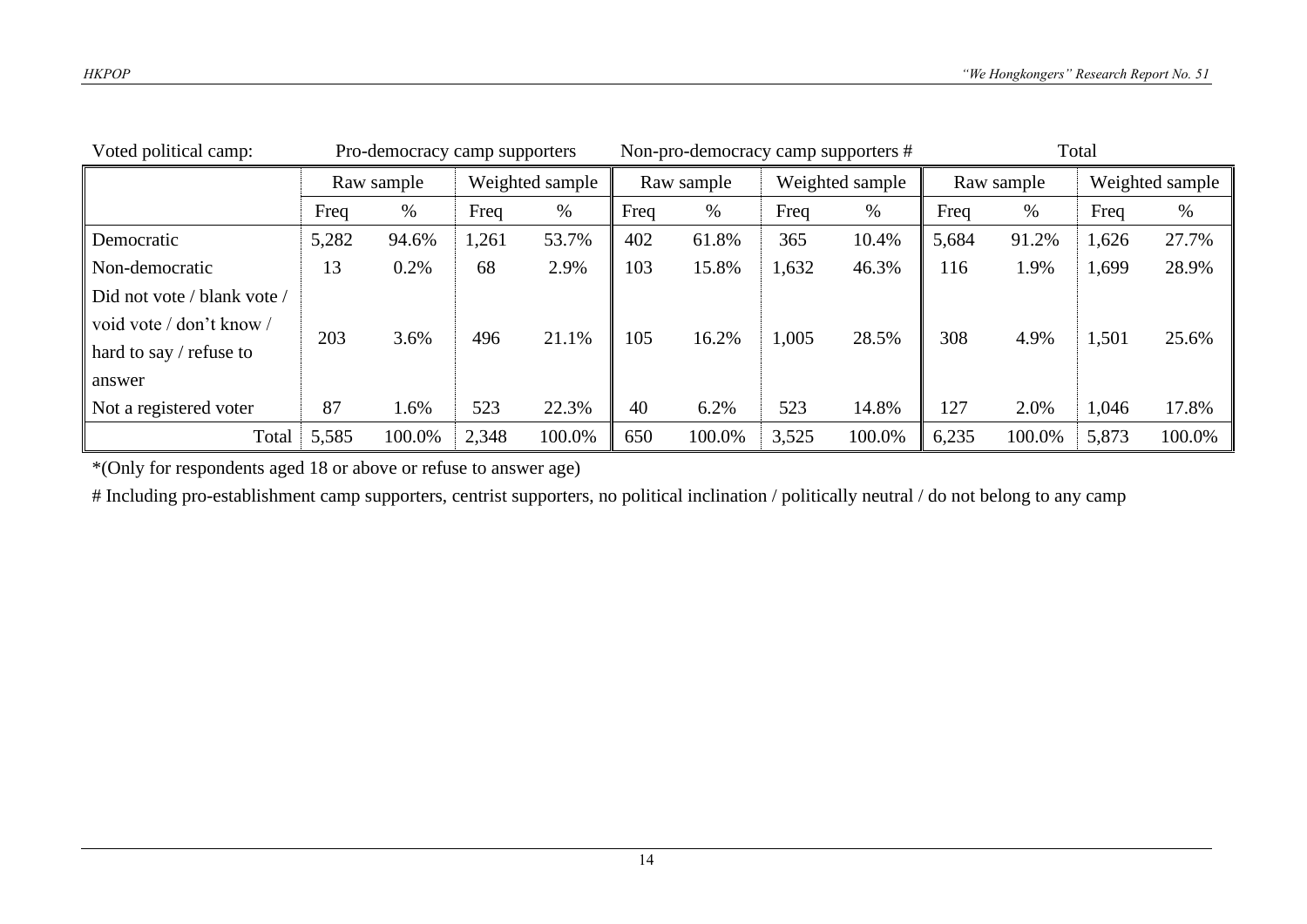| Voted political camp:       | Pro-democracy camp supporters |        |                 |        | Non-pro-democracy camp supporters # |        |                 |        | Total      |        |                 |        |
|-----------------------------|-------------------------------|--------|-----------------|--------|-------------------------------------|--------|-----------------|--------|------------|--------|-----------------|--------|
|                             | Raw sample                    |        | Weighted sample |        | Raw sample                          |        | Weighted sample |        | Raw sample |        | Weighted sample |        |
|                             | Freq                          | %      | Freq            | $\%$   | Freq                                | %      | Freq            | $\%$   | Freq       | $\%$   | Freq            | $\%$   |
| Democratic                  | 5,282                         | 94.6%  | 1,261           | 53.7%  | 402                                 | 61.8%  | 365             | 10.4%  | 5,684      | 91.2%  | 1,626           | 27.7%  |
| Non-democratic              | 13                            | 0.2%   | 68              | 2.9%   | 103                                 | 15.8%  | 1,632           | 46.3%  | 116        | 1.9%   | 1,699           | 28.9%  |
| Did not vote / blank vote / |                               |        |                 |        |                                     |        |                 |        |            |        |                 |        |
| void vote / don't know /    | 203                           | 3.6%   | 496             | 21.1%  | 105                                 | 16.2%  | 1,005           | 28.5%  | 308        | 4.9%   | 1,501           | 25.6%  |
| hard to say $/$ refuse to   |                               |        |                 |        |                                     |        |                 |        |            |        |                 |        |
| answer                      |                               |        |                 |        |                                     |        |                 |        |            |        |                 |        |
| Not a registered voter      | 87                            | 1.6%   | 523             | 22.3%  | 40                                  | 6.2%   | 523             | 14.8%  | 127        | 2.0%   | 1,046           | 17.8%  |
| Total                       | 5,585                         | 100.0% | 2,348           | 100.0% | 650                                 | 100.0% | 3,525           | 100.0% | 6,235      | 100.0% | 5,873           | 100.0% |

\*(Only for respondents aged 18 or above or refuse to answer age)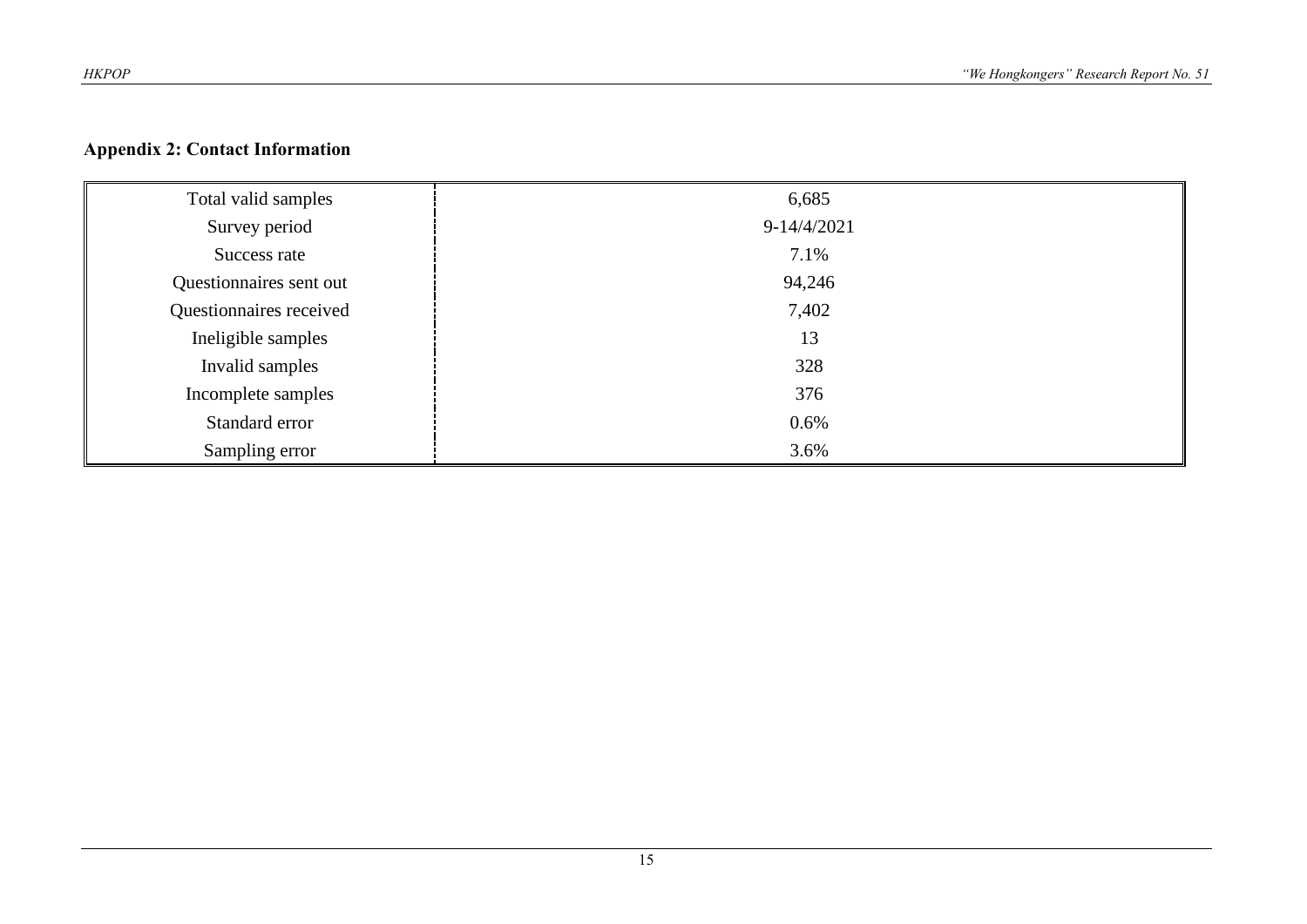#### **Appendix 2: Contact Information**

| Total valid samples     | 6,685         |
|-------------------------|---------------|
| Survey period           | $9-14/4/2021$ |
| Success rate            | 7.1%          |
| Questionnaires sent out | 94,246        |
| Questionnaires received | 7,402         |
| Ineligible samples      | 13            |
| Invalid samples         | 328           |
| Incomplete samples      | 376           |
| Standard error          | 0.6%          |
| Sampling error          | 3.6%          |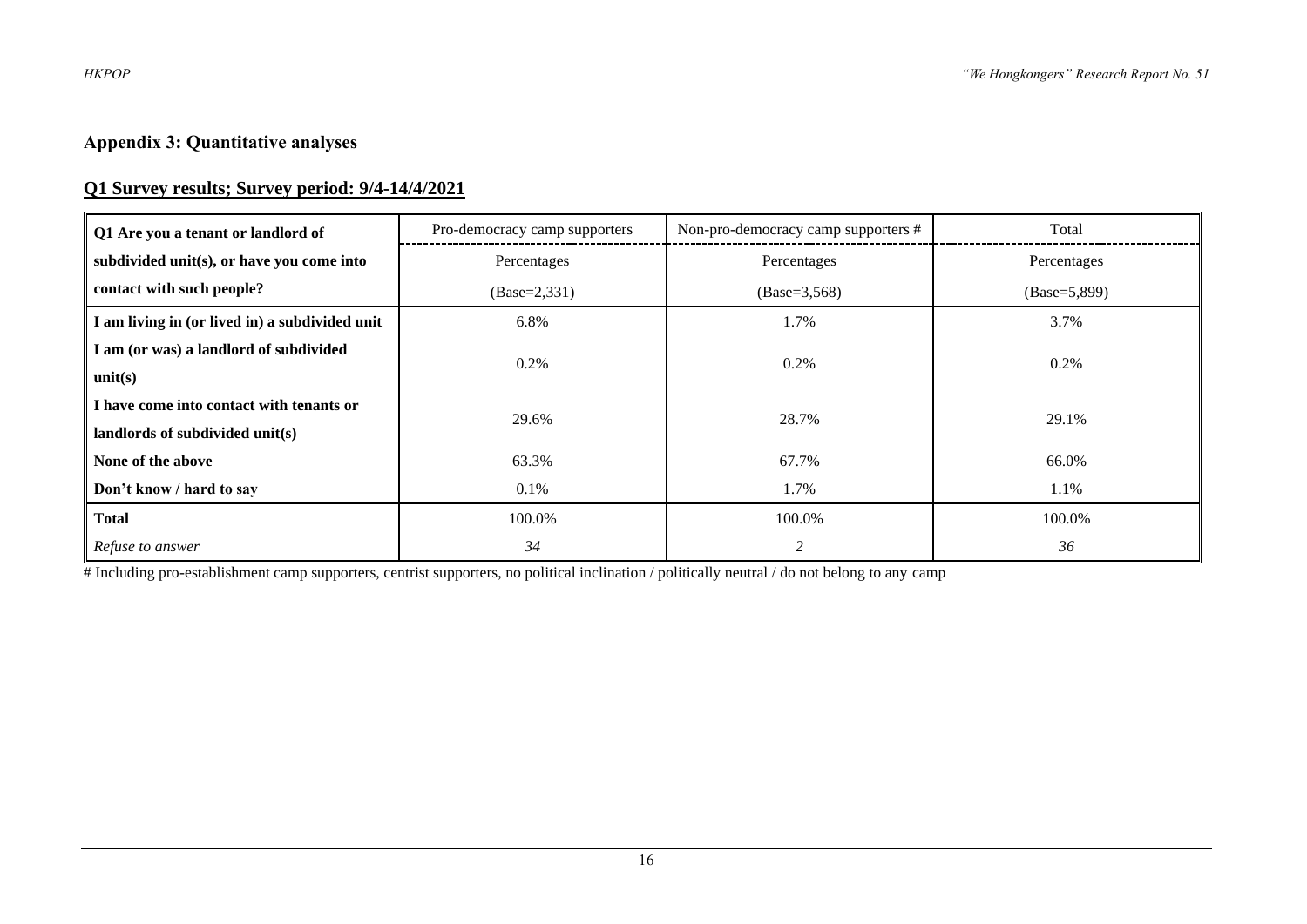#### **Appendix 3: Quantitative analyses**

#### **Q1 Survey results; Survey period: 9/4-14/4/2021**

| Q1 Are you a tenant or landlord of             | Non-pro-democracy camp supporters #<br>Pro-democracy camp supporters |                | Total          |  |
|------------------------------------------------|----------------------------------------------------------------------|----------------|----------------|--|
| subdivided unit(s), or have you come into      | Percentages                                                          | Percentages    | Percentages    |  |
| contact with such people?                      | $(Base=2,331)$                                                       | $(Base=3,568)$ | $(Base=5,899)$ |  |
| I am living in (or lived in) a subdivided unit | 6.8%                                                                 | 1.7%           | 3.7%           |  |
| I am (or was) a landlord of subdivided         | 0.2%                                                                 | $0.2\%$        | $0.2\%$        |  |
| unit(s)                                        |                                                                      |                |                |  |
| I have come into contact with tenants or       | 29.6%                                                                | 28.7%          | 29.1%          |  |
| landlords of subdivided unit(s)                |                                                                      |                |                |  |
| None of the above                              | 63.3%                                                                | 67.7%          | 66.0%          |  |
| Don't know / hard to say                       | 0.1%                                                                 | 1.7%           | 1.1%           |  |
| <b>Total</b>                                   | 100.0%                                                               | 100.0%         | 100.0%         |  |
| Refuse to answer                               | 34                                                                   | 2              | 36             |  |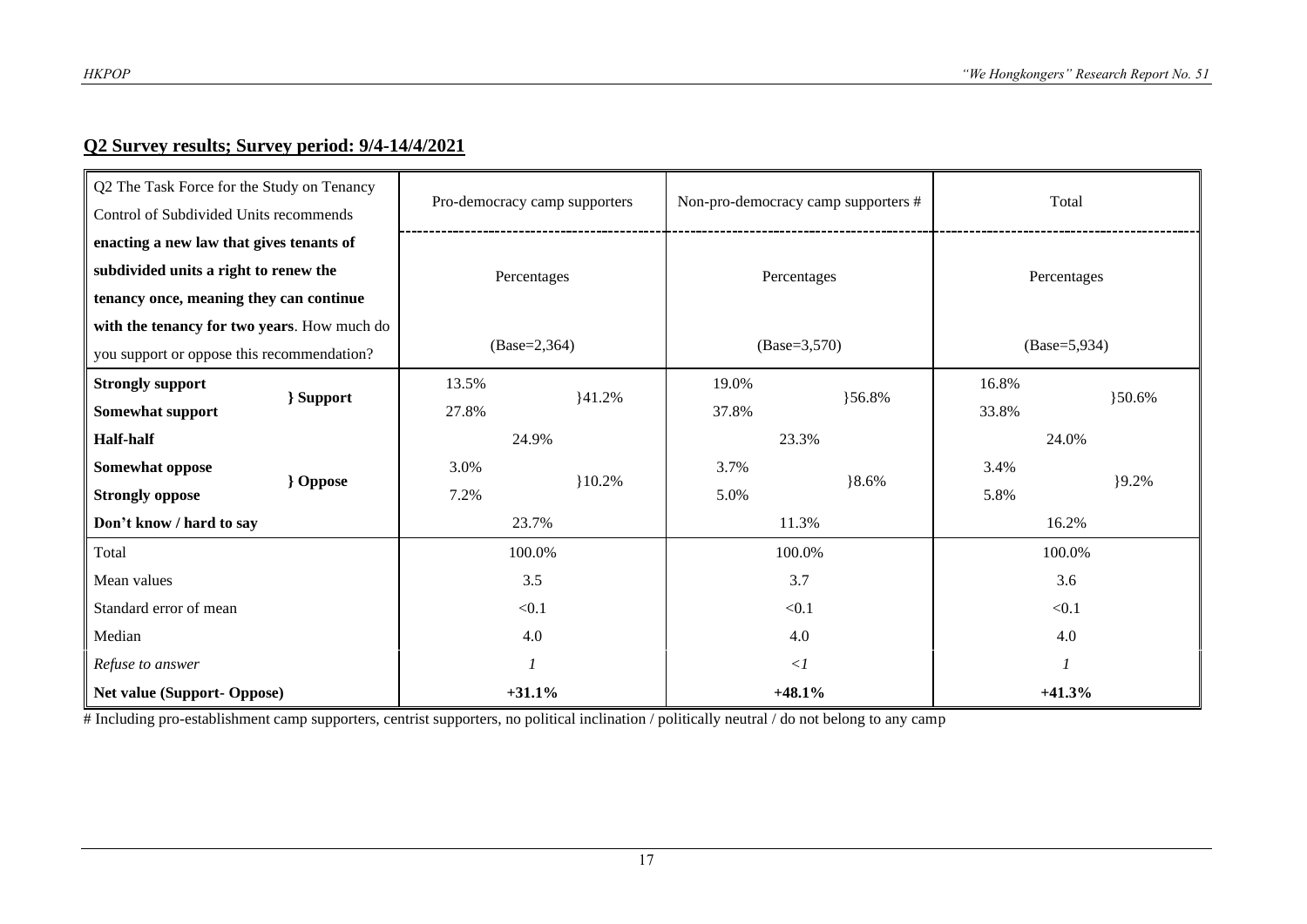#### **Q2 Survey results; Survey period: 9/4-14/4/2021**

| Q2 The Task Force for the Study on Tenancy<br>Control of Subdivided Units recommends | Pro-democracy camp supporters |          |             | Non-pro-democracy camp supporters # | Total          |        |  |
|--------------------------------------------------------------------------------------|-------------------------------|----------|-------------|-------------------------------------|----------------|--------|--|
| enacting a new law that gives tenants of                                             |                               |          |             |                                     | Percentages    |        |  |
| subdivided units a right to renew the                                                | Percentages                   |          |             | Percentages                         |                |        |  |
| tenancy once, meaning they can continue                                              |                               |          |             |                                     |                |        |  |
| with the tenancy for two years. How much do                                          |                               |          |             |                                     |                |        |  |
| you support or oppose this recommendation?                                           | $(Base=2,364)$                |          |             | $(Base=3,570)$                      | $(Base=5,934)$ |        |  |
| <b>Strongly support</b>                                                              | 13.5%                         |          | 19.0%       |                                     | 16.8%          |        |  |
| } Support<br>Somewhat support                                                        | 27.8%                         | 141.2%   | 37.8%       | }56.8%                              | 33.8%          | }50.6% |  |
| <b>Half-half</b>                                                                     | 24.9%                         |          | 23.3%       |                                     | 24.0%          |        |  |
| Somewhat oppose                                                                      | 3.0%                          |          | 3.7%        |                                     | 3.4%           |        |  |
| <b>}</b> Oppose<br><b>Strongly oppose</b>                                            | 7.2%                          | $10.2\%$ | 5.0%        | $8.6\%$                             | 5.8%           | 9.2%   |  |
| Don't know / hard to say                                                             | 23.7%                         |          |             | 11.3%                               | 16.2%          |        |  |
| Total                                                                                | 100.0%                        |          | 100.0%      |                                     | 100.0%         |        |  |
| Mean values                                                                          | 3.5                           |          | 3.7         |                                     | 3.6            |        |  |
| Standard error of mean                                                               | < 0.1                         |          | < 0.1       |                                     | < 0.1          |        |  |
| Median                                                                               | 4.0                           |          | 4.0         |                                     | 4.0            |        |  |
| Refuse to answer                                                                     |                               |          | $\langle$ 1 |                                     |                |        |  |
| <b>Net value (Support- Oppose)</b>                                                   | $+31.1%$                      |          |             | $+48.1%$                            | $+41.3%$       |        |  |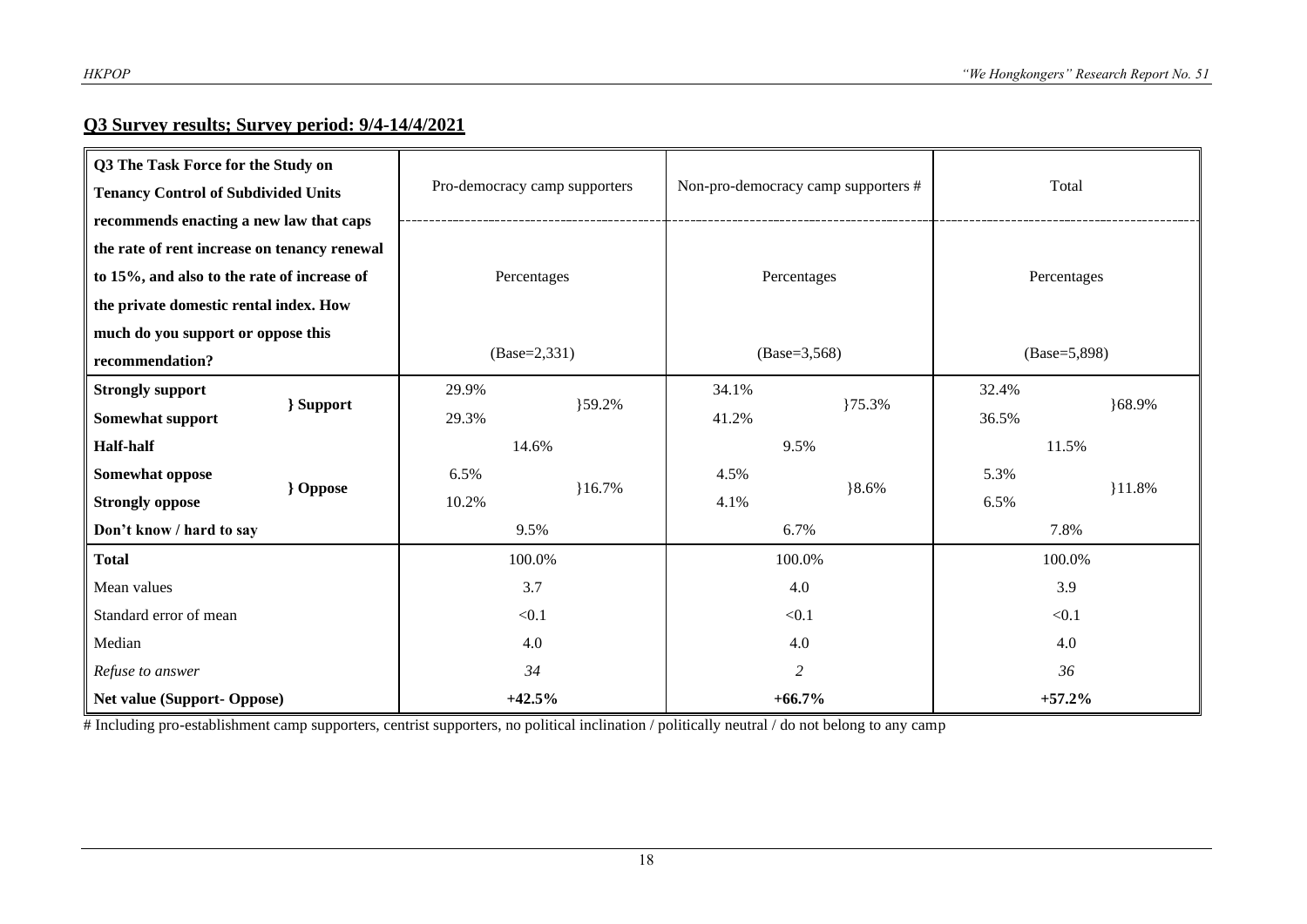### **Q3 Survey results; Survey period: 9/4-14/4/2021**

| Q3 The Task Force for the Study on           |                 |                               |          |        |                                     |                |          |  |
|----------------------------------------------|-----------------|-------------------------------|----------|--------|-------------------------------------|----------------|----------|--|
| <b>Tenancy Control of Subdivided Units</b>   |                 | Pro-democracy camp supporters |          |        | Non-pro-democracy camp supporters # | Total          |          |  |
| recommends enacting a new law that caps      |                 |                               |          |        |                                     |                |          |  |
| the rate of rent increase on tenancy renewal |                 |                               |          |        |                                     |                |          |  |
| to 15%, and also to the rate of increase of  |                 | Percentages                   |          |        | Percentages                         | Percentages    |          |  |
| the private domestic rental index. How       |                 |                               |          |        |                                     |                |          |  |
| much do you support or oppose this           |                 |                               |          |        |                                     |                |          |  |
| recommendation?                              |                 | $(Base=2,331)$                |          |        | $(Base=3,568)$                      | $(Base=5,898)$ |          |  |
| <b>Strongly support</b>                      | } Support       | 29.9%                         |          | 34.1%  | }75.3%                              | 32.4%          |          |  |
| Somewhat support                             |                 | 29.3%                         | }59.2%   | 41.2%  |                                     | 36.5%          | }68.9%   |  |
| <b>Half-half</b>                             |                 | 14.6%                         |          | 9.5%   |                                     | 11.5%          |          |  |
| Somewhat oppose                              | <b>}</b> Oppose | 6.5%                          |          | 4.5%   |                                     | 5.3%           |          |  |
| <b>Strongly oppose</b>                       |                 | 10.2%                         | $16.7\%$ | 4.1%   | $8.6\%$                             | 6.5%           | $11.8\%$ |  |
| Don't know / hard to say                     |                 | 9.5%                          |          | 6.7%   |                                     | 7.8%           |          |  |
| <b>Total</b>                                 |                 | 100.0%                        |          | 100.0% |                                     | 100.0%         |          |  |
| Mean values                                  |                 | 3.7                           |          |        | 4.0                                 | 3.9            |          |  |
| Standard error of mean                       |                 | < 0.1                         |          | < 0.1  |                                     | < 0.1          |          |  |
| Median                                       |                 | 4.0                           |          |        | 4.0                                 | 4.0            |          |  |
| Refuse to answer                             |                 | 34                            |          |        | 2                                   | 36             |          |  |
| Net value (Support-Oppose)                   |                 | $+42.5%$                      |          |        | $+66.7%$                            | $+57.2%$       |          |  |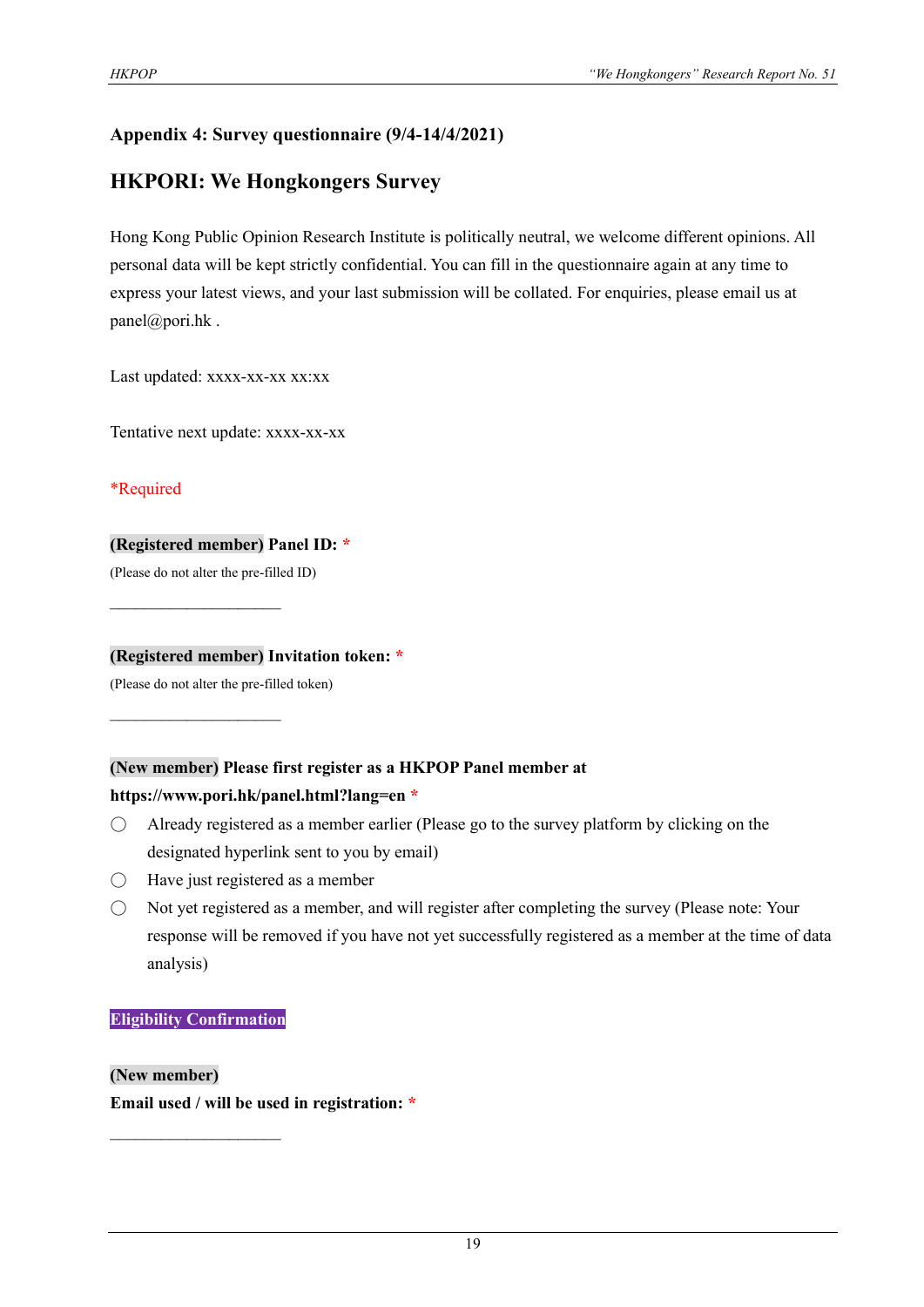#### **Appendix 4: Survey questionnaire (9/4-14/4/2021)**

## **HKPORI: We Hongkongers Survey**

Hong Kong Public Opinion Research Institute is politically neutral, we welcome different opinions. All personal data will be kept strictly confidential. You can fill in the questionnaire again at any time to express your latest views, and your last submission will be collated. For enquiries, please email us at panel@pori.hk .

Last updated: xxxx-xx-xx xx:xx

Tentative next update: xxxx-xx-xx

\*Required

#### **(Registered member) Panel ID: \***

(Please do not alter the pre-filled ID)

 $\mathcal{L}_\text{max}$  , where  $\mathcal{L}_\text{max}$ 

 $\mathcal{L}_\text{max}$  , where  $\mathcal{L}_\text{max}$ 

#### **(Registered member) Invitation token: \***

(Please do not alter the pre-filled token)

#### **(New member) Please first register as a HKPOP Panel member at**

#### **https://www.pori.hk/panel.html?lang=en \***

- $\bigcirc$  Already registered as a member earlier (Please go to the survey platform by clicking on the designated hyperlink sent to you by email)
- Have just registered as a member
- Not yet registered as a member, and will register after completing the survey (Please note: Your response will be removed if you have not yet successfully registered as a member at the time of data analysis)

#### **Eligibility Confirmation**

 $\mathcal{L}_\text{max}$ 

**(New member) Email used / will be used in registration: \***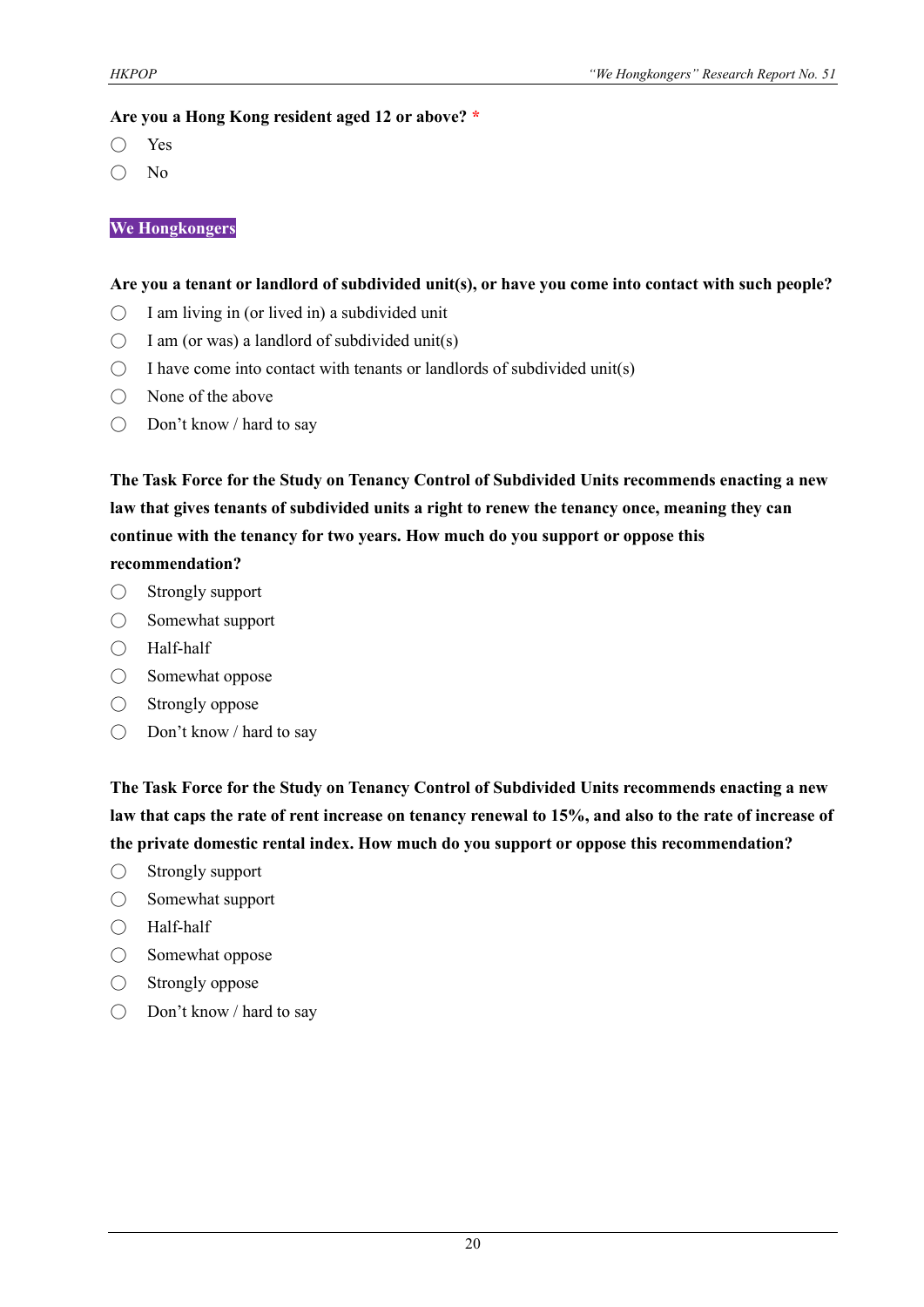#### **Are you a Hong Kong resident aged 12 or above? \***

- Yes
- No

#### **We Hongkongers**

#### **Are you a tenant or landlord of subdivided unit(s), or have you come into contact with such people?**

- $\bigcirc$  I am living in (or lived in) a subdivided unit
- $\bigcirc$  I am (or was) a landlord of subdivided unit(s)
- $\bigcirc$  I have come into contact with tenants or landlords of subdivided unit(s)
- None of the above
- Don't know / hard to say

**The Task Force for the Study on Tenancy Control of Subdivided Units recommends enacting a new law that gives tenants of subdivided units a right to renew the tenancy once, meaning they can continue with the tenancy for two years. How much do you support or oppose this recommendation?**

- $\bigcirc$  Strongly support
- Somewhat support
- Half-half
- Somewhat oppose
- Strongly oppose
- Don't know / hard to say

**The Task Force for the Study on Tenancy Control of Subdivided Units recommends enacting a new law that caps the rate of rent increase on tenancy renewal to 15%, and also to the rate of increase of the private domestic rental index. How much do you support or oppose this recommendation?**

- Strongly support
- Somewhat support
- Half-half
- Somewhat oppose
- $\bigcirc$  Strongly oppose
- Don't know / hard to say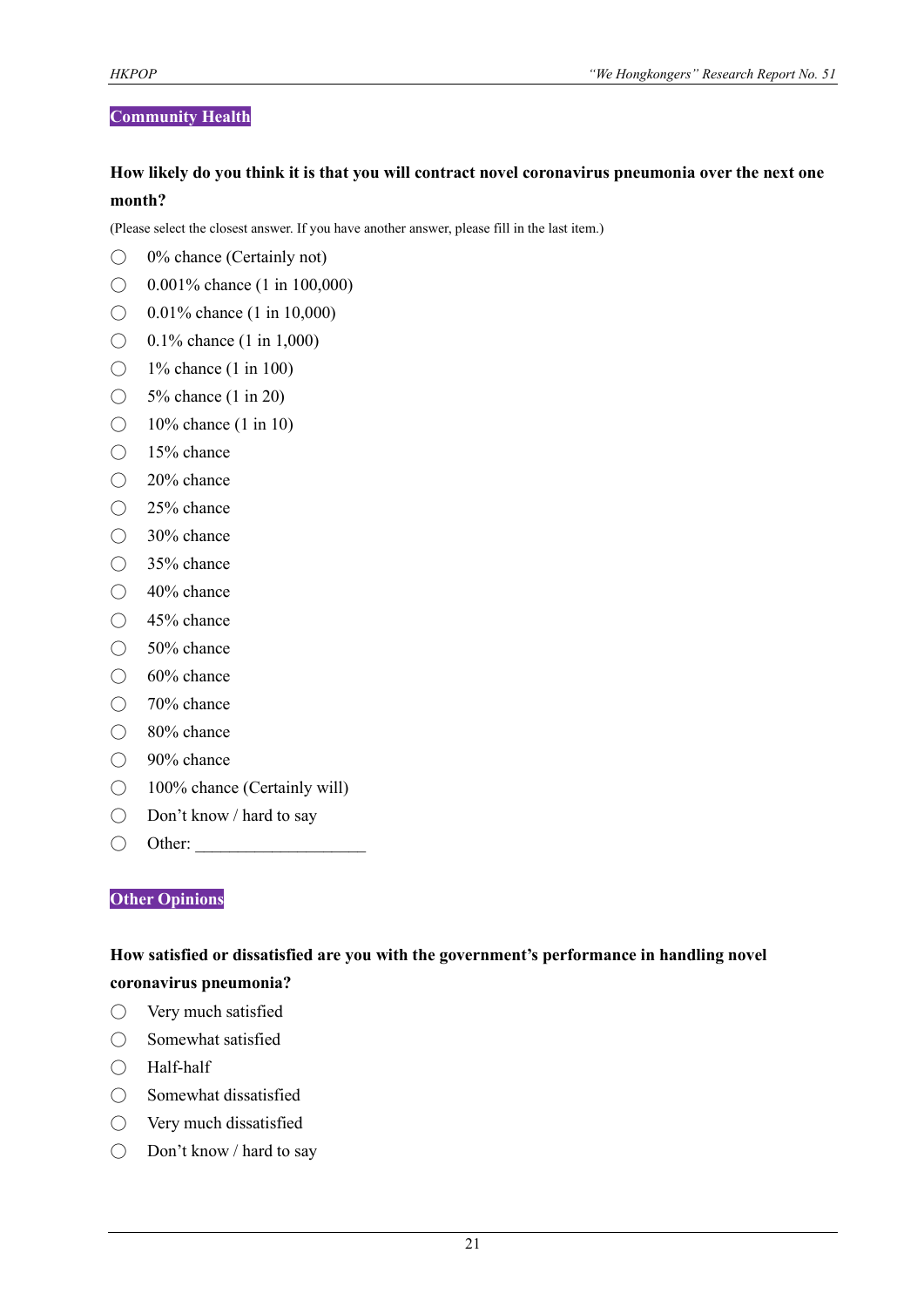#### **Community Health**

#### **How likely do you think it is that you will contract novel coronavirus pneumonia over the next one month?**

(Please select the closest answer. If you have another answer, please fill in the last item.)

- $\bigcirc$  0% chance (Certainly not)
- $\bigcirc$  0.001% chance (1 in 100,000)
- $\bigcirc$  0.01% chance (1 in 10,000)
- $\bigcirc$  0.1% chance (1 in 1,000)
- $\bigcirc$  1% chance (1 in 100)
- $\bigcirc$  5% chance (1 in 20)
- $\bigcirc$  10% chance (1 in 10)
- 15% chance
- 20% chance
- 25% chance
- 30% chance
- 35% chance
- 40% chance
- 45% chance
- 50% chance
- 60% chance
- 70% chance
- 80% chance
- 90% chance
- 100% chance (Certainly will)
- Don't know / hard to say
- $\bigcirc$  Other:

#### **Other Opinions**

#### **How satisfied or dissatisfied are you with the government's performance in handling novel coronavirus pneumonia?**

- Very much satisfied
- Somewhat satisfied
- Half-half
- Somewhat dissatisfied
- Very much dissatisfied
- Don't know / hard to say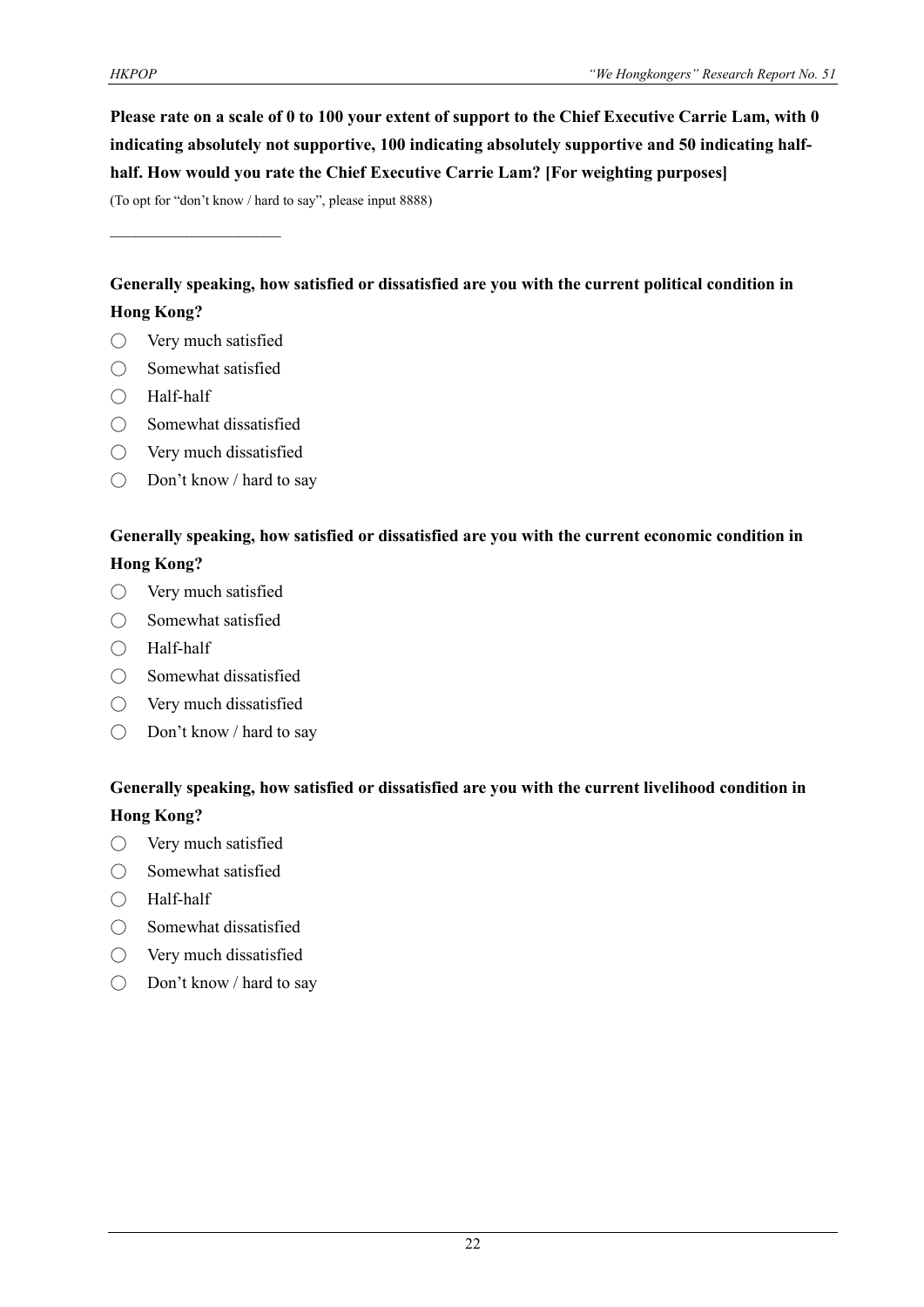**Please rate on a scale of 0 to 100 your extent of support to the Chief Executive Carrie Lam, with 0 indicating absolutely not supportive, 100 indicating absolutely supportive and 50 indicating halfhalf. How would you rate the Chief Executive Carrie Lam? [For weighting purposes]**

(To opt for "don't know / hard to say", please input 8888)

 $\mathcal{L}_\text{max}$  , where  $\mathcal{L}_\text{max}$ 

**Generally speaking, how satisfied or dissatisfied are you with the current political condition in Hong Kong?**

- Very much satisfied
- Somewhat satisfied
- Half-half
- Somewhat dissatisfied
- Very much dissatisfied
- Don't know / hard to say

#### **Generally speaking, how satisfied or dissatisfied are you with the current economic condition in Hong Kong?**

- Very much satisfied
- Somewhat satisfied
- Half-half
- $\bigcirc$  Somewhat dissatisfied
- Very much dissatisfied
- $\bigcirc$  Don't know / hard to say

#### **Generally speaking, how satisfied or dissatisfied are you with the current livelihood condition in Hong Kong?**

- Very much satisfied
- Somewhat satisfied
- Half-half
- Somewhat dissatisfied
- Very much dissatisfied
- Don't know / hard to say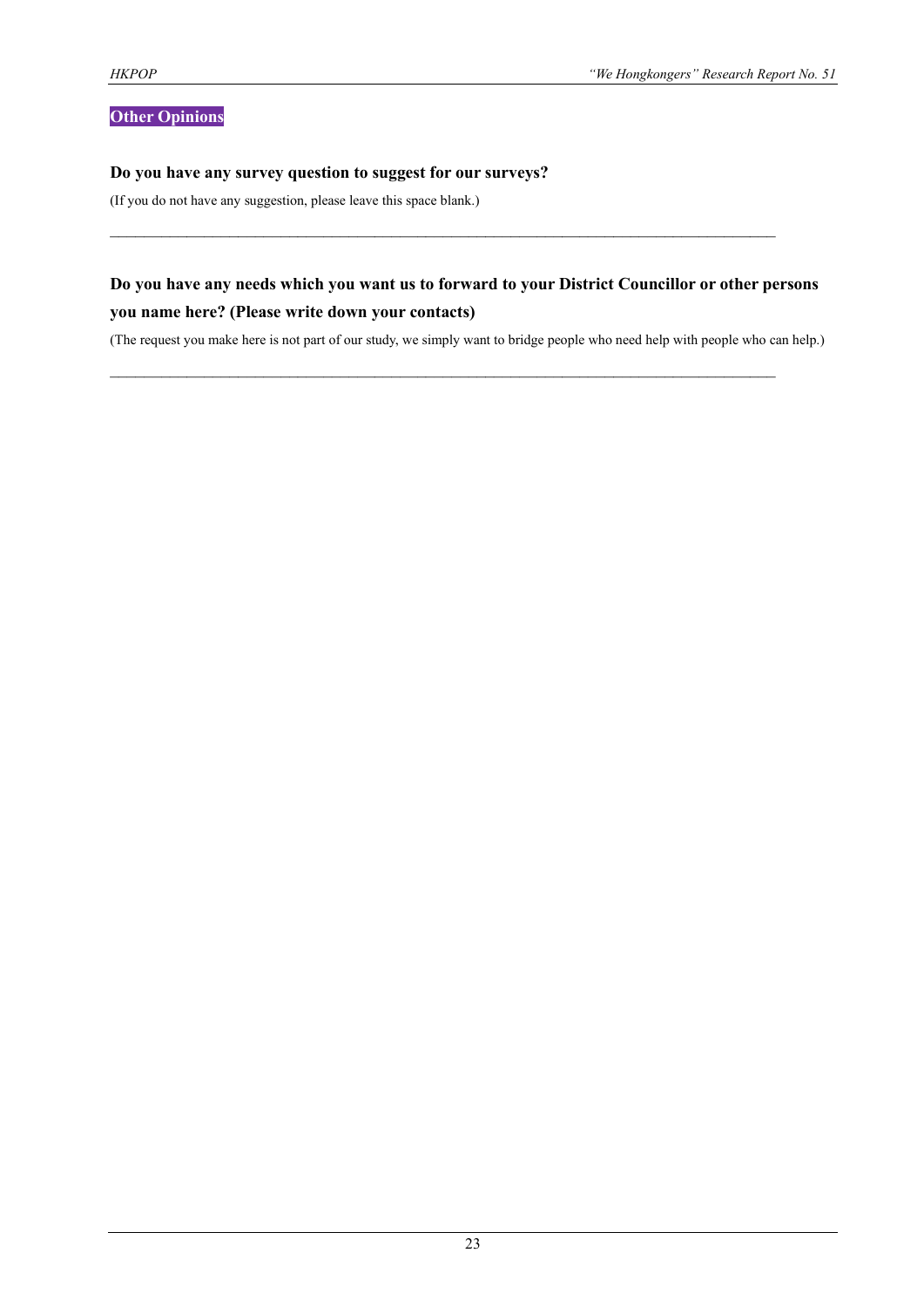#### **Other Opinions**

#### **Do you have any survey question to suggest for our surveys?**

(If you do not have any suggestion, please leave this space blank.)

#### **Do you have any needs which you want us to forward to your District Councillor or other persons you name here? (Please write down your contacts)**

 $\mathcal{L}_\text{max}$  and  $\mathcal{L}_\text{max}$  and  $\mathcal{L}_\text{max}$  and  $\mathcal{L}_\text{max}$  and  $\mathcal{L}_\text{max}$  and  $\mathcal{L}_\text{max}$ 

 $\mathcal{L}_\mathcal{L} = \{ \mathcal{L}_\mathcal{L} = \{ \mathcal{L}_\mathcal{L} = \{ \mathcal{L}_\mathcal{L} = \{ \mathcal{L}_\mathcal{L} = \{ \mathcal{L}_\mathcal{L} = \{ \mathcal{L}_\mathcal{L} = \{ \mathcal{L}_\mathcal{L} = \{ \mathcal{L}_\mathcal{L} = \{ \mathcal{L}_\mathcal{L} = \{ \mathcal{L}_\mathcal{L} = \{ \mathcal{L}_\mathcal{L} = \{ \mathcal{L}_\mathcal{L} = \{ \mathcal{L}_\mathcal{L} = \{ \mathcal{L}_\mathcal{$ 

(The request you make here is not part of our study, we simply want to bridge people who need help with people who can help.)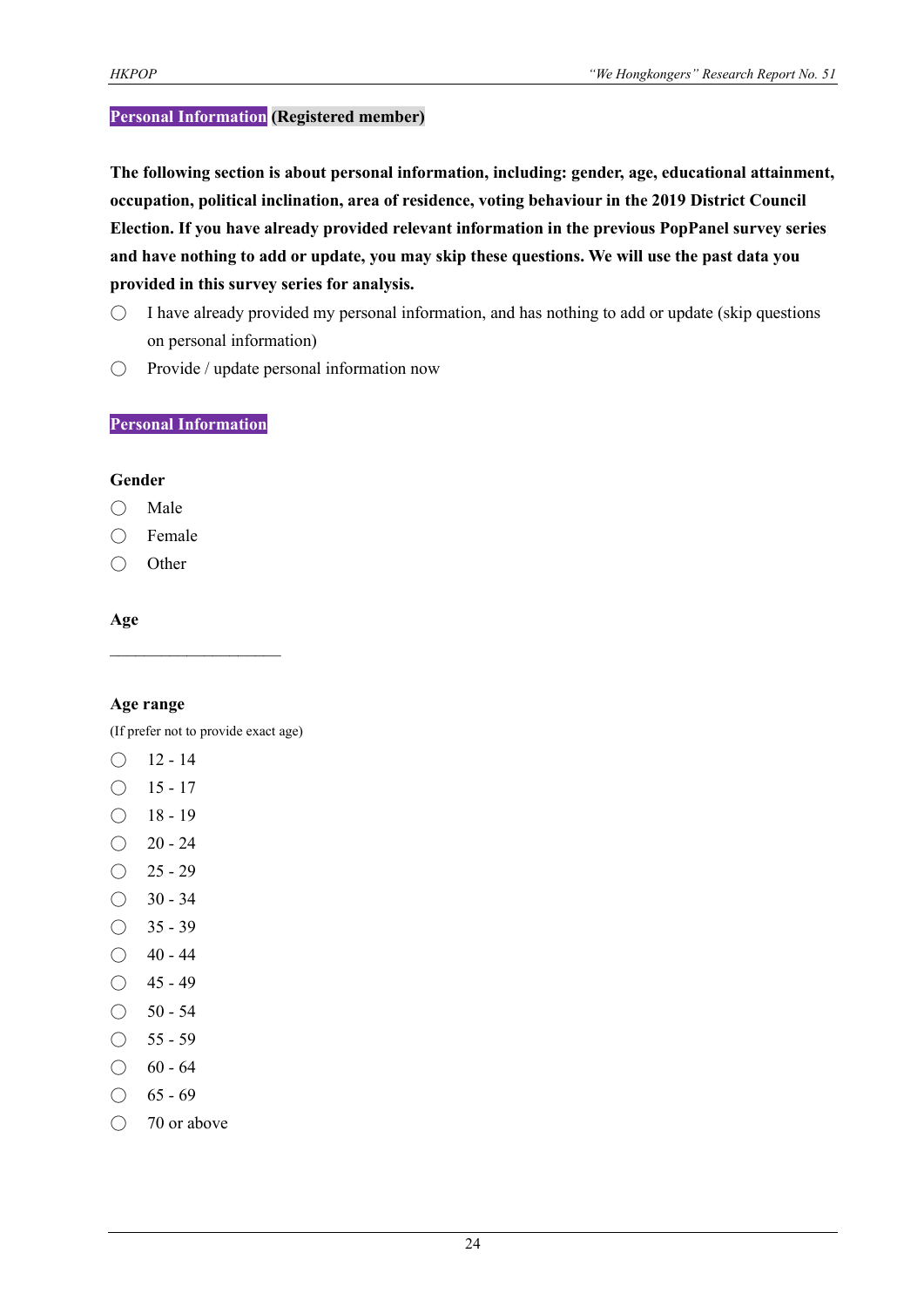#### **Personal Information (Registered member)**

**The following section is about personal information, including: gender, age, educational attainment, occupation, political inclination, area of residence, voting behaviour in the 2019 District Council Election. If you have already provided relevant information in the previous PopPanel survey series and have nothing to add or update, you may skip these questions. We will use the past data you provided in this survey series for analysis.**

- $\bigcirc$  I have already provided my personal information, and has nothing to add or update (skip questions on personal information)
- Provide / update personal information now

#### **Personal Information**

#### **Gender**

- Male
- Female
- Other

#### **Age**

#### **Age range**

(If prefer not to provide exact age)

 $\mathcal{L}_\text{max}$ 

- $O$  12 14
- $O$  15 17
- $\bigcirc$  18 19
- $\bigcirc$  20 24
- $\bigcirc$  25 29
- $\bigcirc$  30 34
- $\bigcirc$  35 39
- $\bigcirc$  40 44
- $\bigcirc$  45 49
- $\bigcirc$  50 54
- $\bigcirc$  55 59
- $\bigcirc$  60 64
- $\bigcirc$  65 69
- 70 or above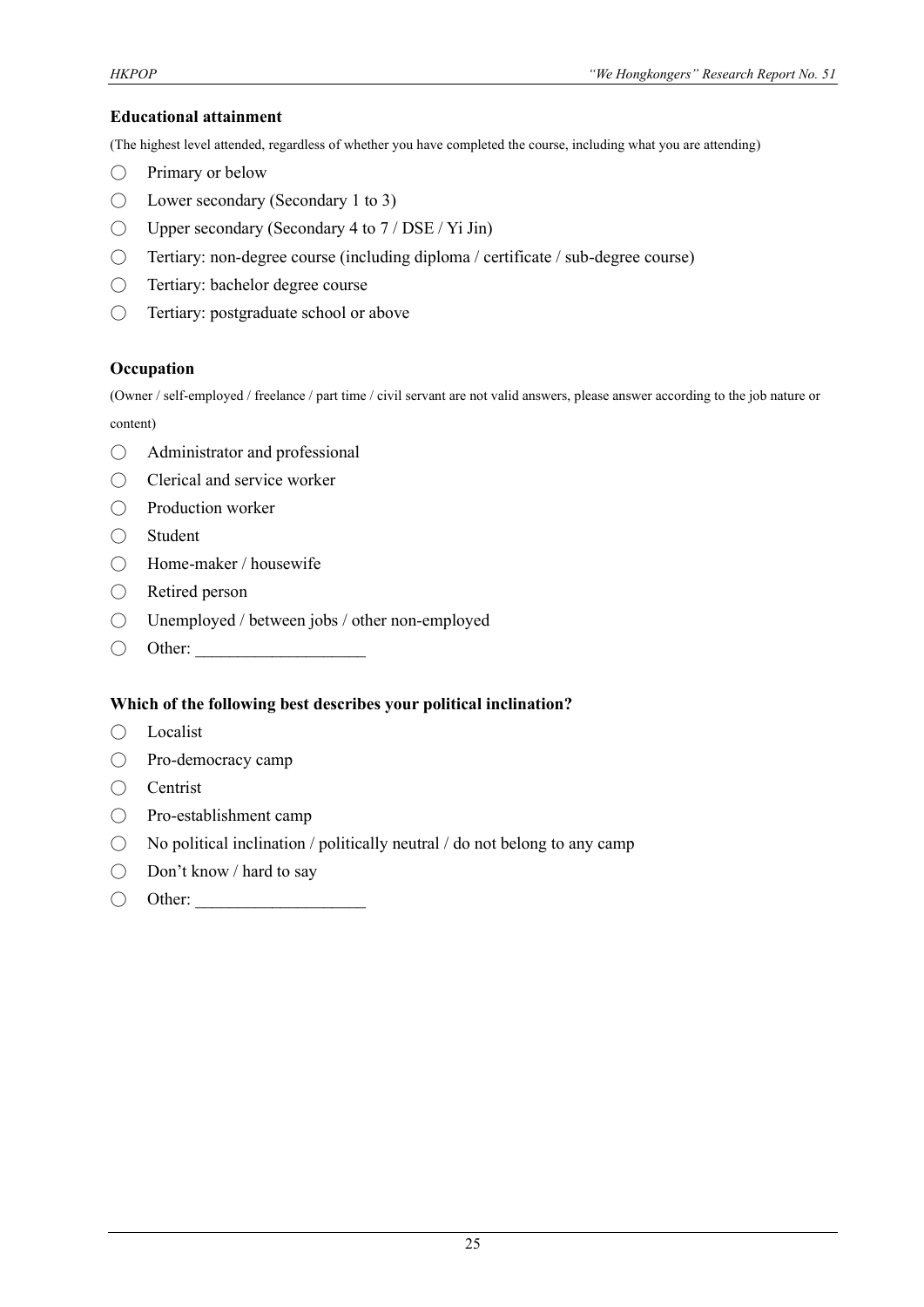#### **Educational attainment**

(The highest level attended, regardless of whether you have completed the course, including what you are attending)

- Primary or below
- Lower secondary (Secondary 1 to 3)
- $\bigcirc$  Upper secondary (Secondary 4 to 7 / DSE / Yi Jin)
- Tertiary: non-degree course (including diploma / certificate / sub-degree course)
- Tertiary: bachelor degree course
- Tertiary: postgraduate school or above

#### **Occupation**

(Owner / self-employed / freelance / part time / civil servant are not valid answers, please answer according to the job nature or content)

- Administrator and professional
- Clerical and service worker
- Production worker
- Student
- Home-maker / housewife
- Retired person
- Unemployed / between jobs / other non-employed
- $\bigcirc$  Other:

#### **Which of the following best describes your political inclination?**

- Localist
- Pro-democracy camp
- Centrist
- Pro-establishment camp
- $\bigcirc$  No political inclination / politically neutral / do not belong to any camp
- Don't know / hard to say
- $\bigcirc$  Other: